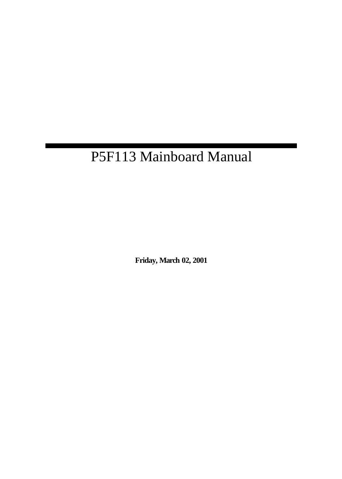# P5F113 Mainboard Manual

**Friday, March 02, 2001**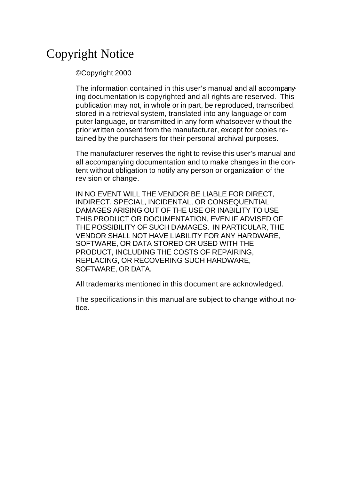# Copyright Notice

#### ©Copyright 2000

The information contained in this user's manual and all accompanying documentation is copyrighted and all rights are reserved. This publication may not, in whole or in part, be reproduced, transcribed, stored in a retrieval system, translated into any language or computer language, or transmitted in any form whatsoever without the prior written consent from the manufacturer, except for copies retained by the purchasers for their personal archival purposes.

The manufacturer reserves the right to revise this user's manual and all accompanying documentation and to make changes in the content without obligation to notify any person or organization of the revision or change.

IN NO EVENT WILL THE VENDOR BE LIABLE FOR DIRECT, INDIRECT, SPECIAL, INCIDENTAL, OR CONSEQUENTIAL DAMAGES ARISING OUT OF THE USE OR INABILITY TO USE THIS PRODUCT OR DOCUMENTATION, EVEN IF ADVISED OF THE POSSIBILITY OF SUCH DAMAGES. IN PARTICULAR, THE VENDOR SHALL NOT HAVE LIABILITY FOR ANY HARDWARE, SOFTWARE, OR DATA STORED OR USED WITH THE PRODUCT, INCLUDING THE COSTS OF REPAIRING, REPLACING, OR RECOVERING SUCH HARDWARE, SOFTWARE, OR DATA.

All trademarks mentioned in this document are acknowledged.

The specifications in this manual are subject to change without notice.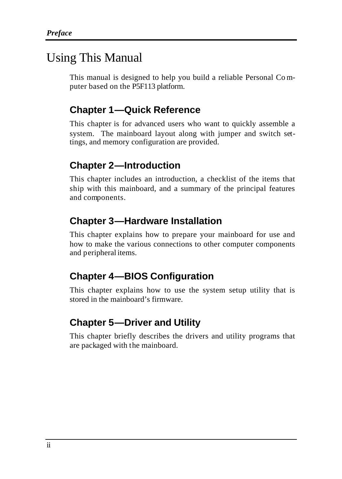### Using This Manual

This manual is designed to help you build a reliable Personal Co mputer based on the P5F113 platform.

### **Chapter 1—Quick Reference**

This chapter is for advanced users who want to quickly assemble a system. The mainboard layout along with jumper and switch settings, and memory configuration are provided.

### **Chapter 2—Introduction**

This chapter includes an introduction, a checklist of the items that ship with this mainboard, and a summary of the principal features and components.

### **Chapter 3—Hardware Installation**

This chapter explains how to prepare your mainboard for use and how to make the various connections to other computer components and peripheral items.

### **Chapter 4—BIOS Configuration**

This chapter explains how to use the system setup utility that is stored in the mainboard's firmware.

### **Chapter 5—Driver and Utility**

This chapter briefly describes the drivers and utility programs that are packaged with the mainboard.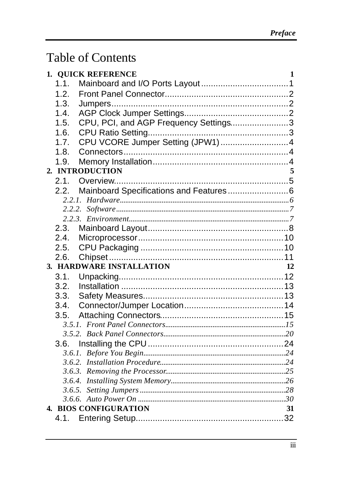# **Table of Contents**

| 1. QUICK REFERENCE           |                                       | 1 |
|------------------------------|---------------------------------------|---|
| 1.1.                         |                                       |   |
| 1.2.                         |                                       |   |
| 1.3.                         |                                       |   |
| 1.4.                         |                                       |   |
| 1.5.                         | CPU, PCI, and AGP Frequency Settings3 |   |
| 1.6.                         |                                       |   |
| 1.7.                         | CPU VCORE Jumper Setting (JPW1) 4     |   |
| 1.8.                         |                                       |   |
| 1.9.                         |                                       |   |
| 2. INTRODUCTION              |                                       | 5 |
| 2.1.                         |                                       |   |
| 2.2.                         |                                       |   |
|                              |                                       |   |
|                              |                                       |   |
|                              |                                       |   |
| 2.3.                         |                                       |   |
| 2.4.                         |                                       |   |
| 2.5.                         |                                       |   |
| 2.6.                         |                                       |   |
| 3. HARDWARE INSTALLATION     | 12                                    |   |
| 3.1.                         |                                       |   |
| 3.2.                         |                                       |   |
| 3.3.                         |                                       |   |
| 3.4.                         |                                       |   |
| 3.5.                         |                                       |   |
|                              |                                       |   |
|                              |                                       |   |
| 3.6.                         |                                       |   |
|                              |                                       |   |
|                              |                                       |   |
|                              |                                       |   |
|                              |                                       |   |
|                              |                                       |   |
| <b>4. BIOS CONFIGURATION</b> | 31                                    |   |
|                              |                                       |   |
|                              |                                       |   |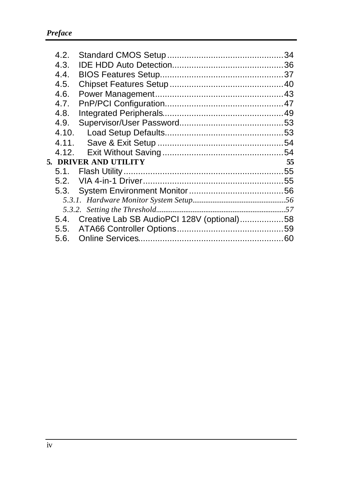| 4.2.  |                                                 |    |
|-------|-------------------------------------------------|----|
| 4.3.  |                                                 |    |
| 4.4.  |                                                 |    |
| 4.5.  |                                                 |    |
| 4.6.  |                                                 |    |
| 4.7.  |                                                 |    |
| 4.8.  |                                                 |    |
| 4.9.  |                                                 |    |
| 4.10. |                                                 |    |
| 4.11. |                                                 |    |
|       |                                                 |    |
|       | 5. DRIVER AND UTILITY                           | 55 |
|       |                                                 |    |
| 5.2.  |                                                 |    |
| 5.3.  |                                                 |    |
|       |                                                 |    |
|       |                                                 |    |
|       | 5.4. Creative Lab SB AudioPCI 128V (optional)58 |    |
|       |                                                 |    |
|       |                                                 |    |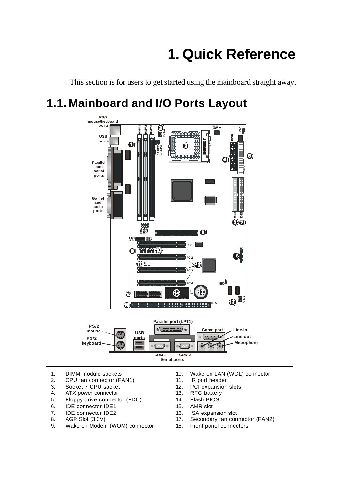# **1. Quick Reference**

This section is for users to get started using the mainboard straight away.

# **1.1. Mainboard and I/O Ports Layout**



- 1. DIMM module sockets
- 2. CPU fan connector (FAN1)
- 3. Socket 7 CPU socket<br>4. ATX power connector
- 4. ATX power connector
- 5. Floppy drive connector (FDC)
- 6. IDE connector IDE1<br>7. IDE connector IDE2
- 7. IDE connector IDE2<br>8. AGP Slot (3.3V)
- 8. AGP Slot (3.3V)<br>9. Wake on Moden
- Wake on Modem (WOM) connector
- 10. Wake on LAN (WOL) connector
- 11. IR port header
- 12. PCI expansion slots
- 13. RTC battery
- 14. Flash BIOS
- 15. AMR slot
- 16. ISA expansion slot<br>17. Secondary fan con
- Secondary fan connector (FAN2)
- 18. Front panel connectors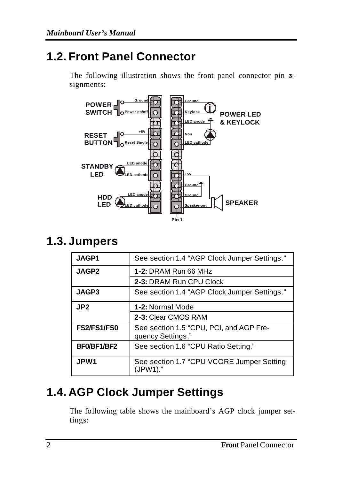### **1.2. Front Panel Connector**

The following illustration shows the front panel connector pin  $a$ signments:



### **1.3. Jumpers**

| JAGP1           | See section 1.4 "AGP Clock Jumper Settings."                 |  |  |
|-----------------|--------------------------------------------------------------|--|--|
| <b>JAGP2</b>    | 1-2: DRAM Run 66 MHz                                         |  |  |
|                 | 2-3: DRAM Run CPU Clock                                      |  |  |
| JAGP3           | See section 1.4 "AGP Clock Jumper Settings."                 |  |  |
| JP <sub>2</sub> | 1-2: Normal Mode                                             |  |  |
|                 | 2-3: Clear CMOS RAM                                          |  |  |
| FS2/FS1/FS0     | See section 1.5 "CPU, PCI, and AGP Fre-<br>quency Settings." |  |  |
| BF0/BF1/BF2     | See section 1.6 "CPU Ratio Setting."                         |  |  |
| JPW1            | See section 1.7 "CPU VCORE Jumper Setting<br>(JPW1)."        |  |  |

# **1.4. AGP Clock Jumper Settings**

The following table shows the mainboard's AGP clock jumper settings: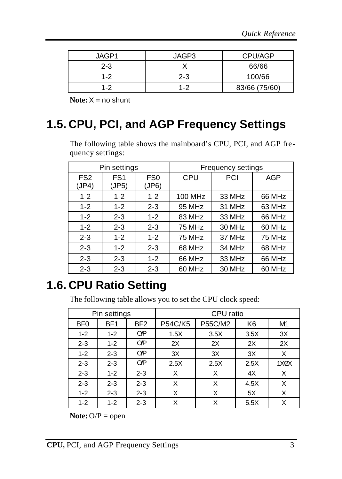| JAGP1   | JAGP3   | CPU/AGP       |
|---------|---------|---------------|
| $2 - 3$ |         | 66/66         |
| $1 - 2$ | $2 - 3$ | 100/66        |
| 1-2     | 1-2     | 83/66 (75/60) |

**Note:**X = no shunt

### **1.5. CPU, PCI, and AGP Frequency Settings**

The following table shows the mainboard's CPU, PCI, and AGP frequency settings:

|                          | Pin settings             |                          |         | Frequency settings |            |
|--------------------------|--------------------------|--------------------------|---------|--------------------|------------|
| FS <sub>2</sub><br>(JP4) | FS <sub>1</sub><br>(JP5) | FS <sub>0</sub><br>(JP6) | CPU     | PCI                | <b>AGP</b> |
| $1 - 2$                  | $1 - 2$                  | $1 - 2$                  | 100 MHz | 33 MHz             | 66 MHz     |
| $1 - 2$                  | $1 - 2$                  | $2 - 3$                  | 95 MHz  | 31 MHz             | 63 MHz     |
| $1 - 2$                  | $2 - 3$                  | $1 - 2$                  | 83 MHz  | 33 MHz             | 66 MHz     |
| $1 - 2$                  | $2 - 3$                  | $2 - 3$                  | 75 MHz  | 30 MHz             | 60 MHz     |
| $2 - 3$                  | $1 - 2$                  | $1 - 2$                  | 75 MHz  | 37 MHz             | 75 MHz     |
| $2 - 3$                  | $1 - 2$                  | $2 - 3$                  | 68 MHz  | 34 MHz             | 68 MHz     |
| $2 - 3$                  | $2 - 3$                  | $1 - 2$                  | 66 MHz  | 33 MHz             | 66 MHz     |
| $2 - 3$                  | $2 - 3$                  | $2 - 3$                  | 60 MHz  | 30 MHz             | 60 MHz     |

# **1.6. CPU Ratio Setting**

The following table allows you to set the CPU clock speed:

|                 | Pin settings    |                 | CPU ratio      |         |                |       |
|-----------------|-----------------|-----------------|----------------|---------|----------------|-------|
| BF <sub>0</sub> | BF <sub>1</sub> | BF <sub>2</sub> | <b>P54C/K5</b> | P55C/M2 | K <sub>6</sub> | M1    |
| $1 - 2$         | $1 - 2$         | <b>OP</b>       | 1.5X           | 3.5X    | 3.5X           | 3X    |
| $2 - 3$         | $1 - 2$         | <b>OP</b>       | 2X             | 2X      | 2X             | 2X    |
| $1 - 2$         | $2 - 3$         | <b>OP</b>       | 3X             | 3X      | 3X             | Χ     |
| $2 - 3$         | $2 - 3$         | <b>OP</b>       | 2.5X           | 2.5X    | 2.5X           | 1X/2X |
| $2 - 3$         | $1 - 2$         | $2 - 3$         | x              | X       | 4X             | Χ     |
| $2 - 3$         | $2 - 3$         | $2 - 3$         | X              | X       | 4.5X           | Х     |
| $1 - 2$         | $2 - 3$         | $2 - 3$         | Χ              | X       | 5X             | Χ     |
| $1 - 2$         | $1 - 2$         | $2 - 3$         | X              | Χ       | 5.5X           | Χ     |

**Note:**  $O/P =$  open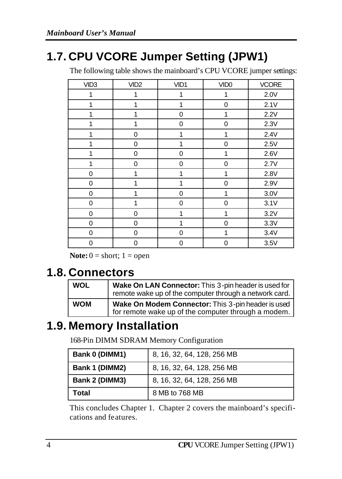# **1.7. CPU VCORE Jumper Setting (JPW1)**

The following table shows the mainboard's CPU VCORE jumper settings:

| VID <sub>3</sub> | VID <sub>2</sub> | VID1 | VID <sub>0</sub> | <b>VCORE</b> |
|------------------|------------------|------|------------------|--------------|
| 1                | 1                | 1    | 1                | 2.0V         |
| 1                | 1                | 1    | 0                | 2.1V         |
| 1                | 1                | 0    | 1                | 2.2V         |
| 1                | 1                | 0    | $\mathbf 0$      | 2.3V         |
| 1                | 0                | 1    | 1                | 2.4V         |
| 1                | 0                | 1    | 0                | 2.5V         |
| 1                | 0                | 0    | 1                | 2.6V         |
| 1                | 0                | 0    | 0                | 2.7V         |
| 0                | 1                | 1    | 1                | 2.8V         |
| $\mathbf 0$      | 1                | 1    | $\mathbf 0$      | 2.9V         |
| $\Omega$         | 1                | 0    | 1                | 3.0V         |
| 0                | 1                | 0    | 0                | 3.1V         |
| 0                | 0                | 1    | 1                | 3.2V         |
| 0                | 0                | 1    | 0                | 3.3V         |
| 0                | 0                | 0    | 1                | 3.4V         |
| 0                | 0                | 0    | 0                | 3.5V         |

**Note:**  $0 =$  short;  $1 =$  open

### **1.8. Connectors**

| <b>WOL</b> | Wake On LAN Connector: This 3-pin header is used for<br>remote wake up of the computer through a network card. |
|------------|----------------------------------------------------------------------------------------------------------------|
| <b>WOM</b> | Wake On Modem Connector: This 3-pin header is used<br>for remote wake up of the computer through a modem.      |

# **1.9. Memory Installation**

168-Pin DIMM SDRAM Memory Configuration

| Bank 0 (DIMM1) | 8, 16, 32, 64, 128, 256 MB |
|----------------|----------------------------|
| Bank 1 (DIMM2) | 8, 16, 32, 64, 128, 256 MB |
| Bank 2 (DIMM3) | 8, 16, 32, 64, 128, 256 MB |
| Total          | 8 MB to 768 MB             |

This concludes Chapter 1. Chapter 2 covers the mainboard's specifications and features.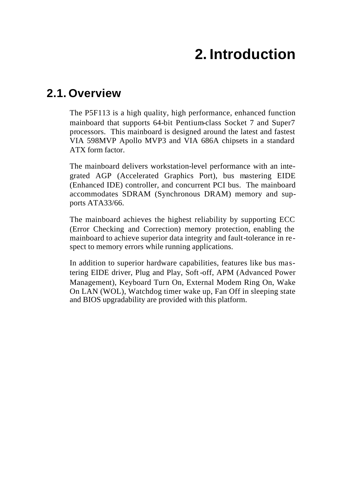# **2. Introduction**

### **2.1. Overview**

The P5F113 is a high quality, high performance, enhanced function mainboard that supports 64-bit Pentium-class Socket 7 and Super7 processors. This mainboard is designed around the latest and fastest VIA 598MVP Apollo MVP3 and VIA 686A chipsets in a standard ATX form factor.

The mainboard delivers workstation-level performance with an integrated AGP (Accelerated Graphics Port), bus mastering EIDE (Enhanced IDE) controller, and concurrent PCI bus. The mainboard accommodates SDRAM (Synchronous DRAM) memory and supports ATA33/66.

The mainboard achieves the highest reliability by supporting ECC (Error Checking and Correction) memory protection, enabling the mainboard to achieve superior data integrity and fault-tolerance in respect to memory errors while running applications.

In addition to superior hardware capabilities, features like bus mastering EIDE driver, Plug and Play, Soft-off, APM (Advanced Power Management), Keyboard Turn On, External Modem Ring On, Wake On LAN (WOL), Watchdog timer wake up, Fan Off in sleeping state and BIOS upgradability are provided with this platform.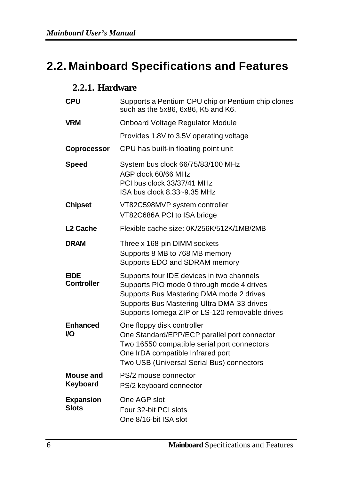# **2.2. Mainboard Specifications and Features**

### **2.2.1. Hardware**

| <b>CPU</b>                       | Supports a Pentium CPU chip or Pentium chip clones<br>such as the 5x86, 6x86, K5 and K6.                                                                                                                                           |
|----------------------------------|------------------------------------------------------------------------------------------------------------------------------------------------------------------------------------------------------------------------------------|
| VRM                              | Onboard Voltage Regulator Module                                                                                                                                                                                                   |
|                                  | Provides 1.8V to 3.5V operating voltage                                                                                                                                                                                            |
| <b>Coprocessor</b>               | CPU has built-in floating point unit                                                                                                                                                                                               |
| <b>Speed</b>                     | System bus clock 66/75/83/100 MHz<br>AGP clock 60/66 MHz<br>PCI bus clock 33/37/41 MHz<br>ISA bus clock 8.33~9.35 MHz                                                                                                              |
| <b>Chipset</b>                   | VT82C598MVP system controller<br>VT82C686A PCI to ISA bridge                                                                                                                                                                       |
| L <sub>2</sub> Cache             | Flexible cache size: 0K/256K/512K/1MB/2MB                                                                                                                                                                                          |
| <b>DRAM</b>                      | Three x 168-pin DIMM sockets<br>Supports 8 MB to 768 MB memory<br>Supports EDO and SDRAM memory                                                                                                                                    |
| <b>EIDE</b><br><b>Controller</b> | Supports four IDE devices in two channels<br>Supports PIO mode 0 through mode 4 drives<br>Supports Bus Mastering DMA mode 2 drives<br>Supports Bus Mastering Ultra DMA-33 drives<br>Supports lomega ZIP or LS-120 removable drives |
| <b>Enhanced</b><br>VO            | One floppy disk controller<br>One Standard/EPP/ECP parallel port connector<br>Two 16550 compatible serial port connectors<br>One IrDA compatible Infrared port<br>Two USB (Universal Serial Bus) connectors                        |
| Mouse and<br>Keyboard            | PS/2 mouse connector<br>PS/2 keyboard connector                                                                                                                                                                                    |
| <b>Expansion</b><br><b>Slots</b> | One AGP slot<br>Four 32-bit PCI slots<br>One 8/16-bit ISA slot                                                                                                                                                                     |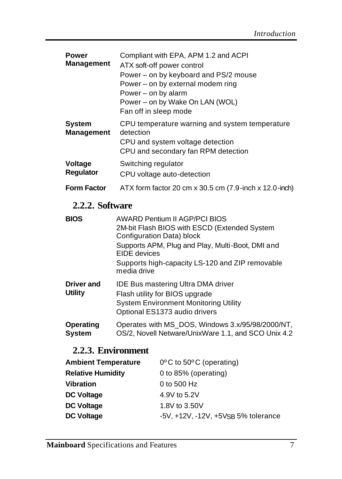| <b>Power</b><br><b>Management</b>  | Compliant with EPA, APM 1.2 and ACPI<br>ATX soft-off power control<br>Power – on by keyboard and PS/2 mouse<br>Power – on by external modem ring<br>Power – on by alarm<br>Power – on by Wake On LAN (WOL)<br>Fan off in sleep mode |  |  |
|------------------------------------|-------------------------------------------------------------------------------------------------------------------------------------------------------------------------------------------------------------------------------------|--|--|
| <b>System</b><br><b>Management</b> | CPU temperature warning and system temperature<br>detection<br>CPU and system voltage detection<br>CPU and secondary fan RPM detection                                                                                              |  |  |
| <b>Voltage</b><br><b>Regulator</b> | Switching regulator<br>CPU voltage auto-detection                                                                                                                                                                                   |  |  |
| <b>Form Factor</b>                 | ATX form factor 20 cm x 30.5 cm (7.9-inch x 12.0-inch)                                                                                                                                                                              |  |  |

### **2.2.2. Software**

| <b>BIOS</b>                         | <b>AWARD Pentium II AGP/PCI BIOS</b><br>2M-bit Flash BIOS with ESCD (Extended System<br>Configuration Data) block<br>Supports APM, Plug and Play, Multi-Boot, DMI and<br>EIDE devices<br>Supports high-capacity LS-120 and ZIP removable<br>media drive |
|-------------------------------------|---------------------------------------------------------------------------------------------------------------------------------------------------------------------------------------------------------------------------------------------------------|
| <b>Driver and</b><br><b>Utility</b> | <b>IDE Bus mastering Ultra DMA driver</b><br>Flash utility for BIOS upgrade<br><b>System Environment Monitoring Utility</b><br>Optional ES1373 audio drivers                                                                                            |
| Operating<br><b>System</b>          | Operates with MS_DOS, Windows 3.x/95/98/2000/NT,<br>OS/2, Novell Netware/UnixWare 1.1, and SCO Unix 4.2                                                                                                                                                 |

### **2.2.3. Environment**

| $0^{\circ}$ C to 50 $^{\circ}$ C (operating) |
|----------------------------------------------|
| 0 to 85% (operating)                         |
| 0 to 500 Hz                                  |
| 4.9V to 5.2V                                 |
| 1.8V to 3.50V                                |
| -5V, +12V, -12V, +5VSB 5% tolerance          |
|                                              |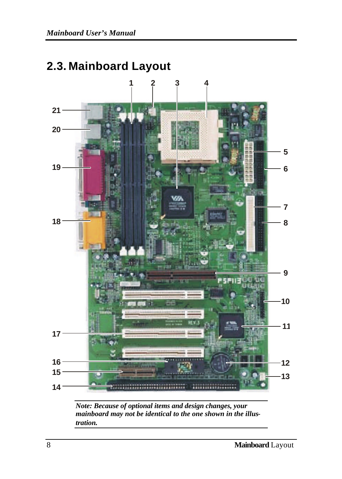

### **2.3. Mainboard Layout**

*Note: Because of optional items and design changes, your mainboard may not be identical to the one shown in the illustration.*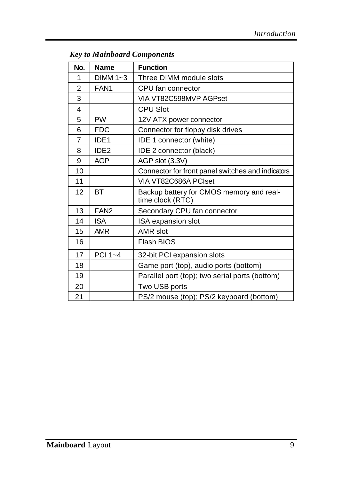| No. | <b>Name</b>      | <b>Function</b>                                              |  |
|-----|------------------|--------------------------------------------------------------|--|
| 1   | $DIMM 1-3$       | Three DIMM module slots                                      |  |
| 2   | FAN <sub>1</sub> | CPU fan connector                                            |  |
| 3   |                  | VIA VT82C598MVP AGPset                                       |  |
| 4   |                  | <b>CPU Slot</b>                                              |  |
| 5   | <b>PW</b>        | 12V ATX power connector                                      |  |
| 6   | <b>FDC</b>       | Connector for floppy disk drives                             |  |
| 7   | IDE <sub>1</sub> | IDE 1 connector (white)                                      |  |
| 8   | IDE <sub>2</sub> | IDE 2 connector (black)                                      |  |
| 9   | AGP              | AGP slot (3.3V)                                              |  |
| 10  |                  | Connector for front panel switches and indicators            |  |
| 11  |                  | VIA VT82C686A PCIset                                         |  |
| 12  | BT               | Backup battery for CMOS memory and real-<br>time clock (RTC) |  |
| 13  | FAN <sub>2</sub> | Secondary CPU fan connector                                  |  |
| 14  | <b>ISA</b>       | ISA expansion slot                                           |  |
| 15  | <b>AMR</b>       | AMR slot                                                     |  |
| 16  |                  | <b>Flash BIOS</b>                                            |  |
| 17  | PCI 1~4          | 32-bit PCI expansion slots                                   |  |
| 18  |                  | Game port (top), audio ports (bottom)                        |  |
| 19  |                  | Parallel port (top); two serial ports (bottom)               |  |
| 20  |                  | Two USB ports                                                |  |
| 21  |                  | PS/2 mouse (top); PS/2 keyboard (bottom)                     |  |

### *Key to Mainboard Components*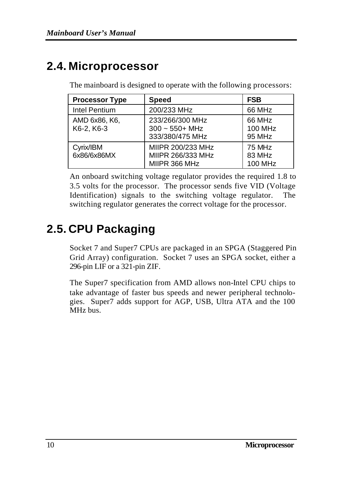### **2.4. Microprocessor**

The mainboard is designed to operate with the following processors:

| <b>Processor Type</b>       | <b>Speed</b>                                                      | <b>FSB</b>                         |
|-----------------------------|-------------------------------------------------------------------|------------------------------------|
| Intel Pentium               | 200/233 MHz                                                       | 66 MHz                             |
| AMD 6x86, K6,<br>K6-2, K6-3 | 233/266/300 MHz<br>$300 \sim 550 + \text{MHz}$<br>333/380/475 MHz | 66 MHz<br><b>100 MHz</b><br>95 MHz |
| Cyrix/IBM<br>6x86/6x86MX    | MIIPR 200/233 MHz<br>MIIPR 266/333 MHz<br>MIIPR 366 MHz           | 75 MHz<br>83 MHz<br><b>100 MHz</b> |

An onboard switching voltage regulator provides the required 1.8 to 3.5 volts for the processor. The processor sends five VID (Voltage Identification) signals to the switching voltage regulator. The switching regulator generates the correct voltage for the processor.

# **2.5. CPU Packaging**

Socket 7 and Super7 CPUs are packaged in an SPGA (Staggered Pin Grid Array) configuration. Socket 7 uses an SPGA socket, either a 296-pin LIF or a 321-pin ZIF.

The Super7 specification from AMD allows non-Intel CPU chips to take advantage of faster bus speeds and newer peripheral technologies. Super7 adds support for AGP, USB, Ultra ATA and the 100 MHz bus.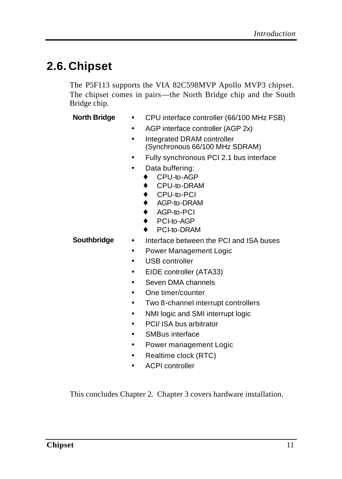# **2.6. Chipset**

The P5F113 supports the VIA 82C598MVP Apollo MVP3 chipset. The chipset comes in pairs—the North Bridge chip and the South Bridge chip.

- **North Bridge** CPU interface controller (66/100 MHz FSB)
	- AGP interface controller (AGP 2x)
	- Integrated DRAM controller (Synchronous 66/100 MHz SDRAM)
	- Fully synchronous PCI 2.1 bus interface
	- Data buffering:
		- ♦ CPU-to-AGP
		- CPU-to-DRAM
		- ♦ CPU-to-PCI
		- ♦ AGP-to-DRAM
		- ♦ AGP-to-PCI
		- PCI-to-AGP
		- PCI-to-DRAM

- **Southbridge** Interface between the PCI and ISA buses
	- Power Management Logic
	- USB controller
	- EIDE controller (ATA33)
	- Seven DMA channels
	- One timer/counter
	- Two 8-channel interrupt controllers
	- NMI logic and SMI interrupt logic
	- PCI/ ISA bus arbitrator
	- SMBus interface
	- Power management Logic
	- Realtime clock (RTC)
	- ACPI controller

This concludes Chapter 2. Chapter 3 covers hardware installation.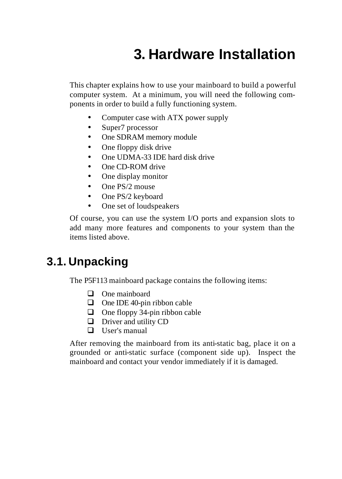# **3. Hardware Installation**

This chapter explains how to use your mainboard to build a powerful computer system. At a minimum, you will need the following components in order to build a fully functioning system.

- Computer case with ATX power supply
- Super7 processor
- One SDRAM memory module
- One floppy disk drive
- One UDMA-33 IDE hard disk drive
- One CD-ROM drive
- One display monitor
- One PS/2 mouse
- One PS/2 keyboard
- One set of loudspeakers

Of course, you can use the system I/O ports and expansion slots to add many more features and components to your system than the items listed above.

### **3.1. Unpacking**

The P5F113 mainboard package contains the following items:

- $\Box$  One mainboard
- $\Box$  One IDE 40-pin ribbon cable
- $\Box$  One floppy 34-pin ribbon cable
- $\Box$  Driver and utility CD
- $\Box$  User's manual

After removing the mainboard from its anti-static bag, place it on a grounded or anti-static surface (component side up). Inspect the mainboard and contact your vendor immediately if it is damaged.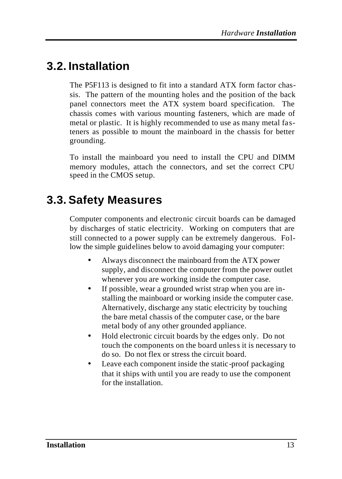# **3.2. Installation**

The P5F113 is designed to fit into a standard ATX form factor chassis. The pattern of the mounting holes and the position of the back panel connectors meet the ATX system board specification. The chassis comes with various mounting fasteners, which are made of metal or plastic. It is highly recommended to use as many metal fasteners as possible to mount the mainboard in the chassis for better grounding.

To install the mainboard you need to install the CPU and DIMM memory modules, attach the connectors, and set the correct CPU speed in the CMOS setup.

# **3.3. Safety Measures**

Computer components and electronic circuit boards can be damaged by discharges of static electricity. Working on computers that are still connected to a power supply can be extremely dangerous. Follow the simple guidelines below to avoid damaging your computer:

- Always disconnect the mainboard from the ATX power supply, and disconnect the computer from the power outlet whenever you are working inside the computer case.
- If possible, wear a grounded wrist strap when you are installing the mainboard or working inside the computer case. Alternatively, discharge any static electricity by touching the bare metal chassis of the computer case, or the bare metal body of any other grounded appliance.
- Hold electronic circuit boards by the edges only. Do not touch the components on the board unless it is necessary to do so. Do not flex or stress the circuit board.
- Leave each component inside the static-proof packaging that it ships with until you are ready to use the component for the installation.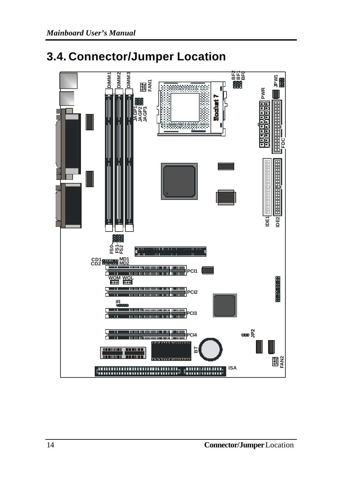### **3.4. Connector/Jumper Location**

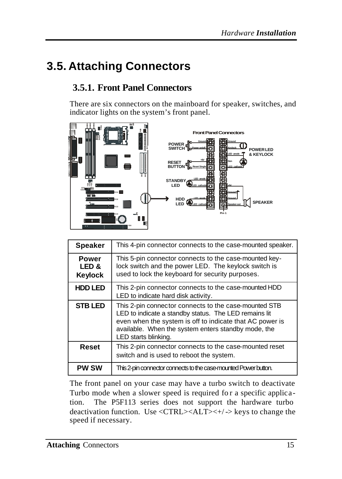# **3.5. Attaching Connectors**

### **3.5.1. Front Panel Connectors**

There are six connectors on the mainboard for speaker, switches, and indicator lights on the system's front panel.



| <b>Speaker</b>                   | This 4-pin connector connects to the case-mounted speaker.                                                                                                                                                                                                |
|----------------------------------|-----------------------------------------------------------------------------------------------------------------------------------------------------------------------------------------------------------------------------------------------------------|
| <b>Power</b><br>LED &<br>Keylock | This 5-pin connector connects to the case-mounted key-<br>lock switch and the power LED. The keylock switch is<br>used to lock the keyboard for security purposes.                                                                                        |
| <b>HDD LED</b>                   | This 2-pin connector connects to the case-mounted HDD<br>LED to indicate hard disk activity.                                                                                                                                                              |
| <b>STB LED</b>                   | This 2-pin connector connects to the case-mounted STB<br>LED to indicate a standby status. The LED remains lit<br>even when the system is off to indicate that AC power is<br>available. When the system enters standby mode, the<br>LED starts blinking. |
| Reset                            | This 2-pin connector connects to the case-mounted reset<br>switch and is used to reboot the system.                                                                                                                                                       |
| <b>PW SW</b>                     | This 2-pin connector connects to the case-mounted Power button.                                                                                                                                                                                           |

The front panel on your case may have a turbo switch to deactivate Turbo mode when a slower speed is required fo r a specific application. The P5F113 series does not support the hardware turbo deactivation function. Use <CTRL><ALT><+/-> keys to change the speed if necessary.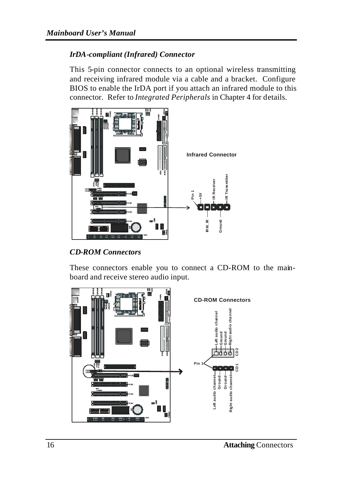#### *IrDA-compliant (Infrared) Connector*

This 5-pin connector connects to an optional wireless transmitting and receiving infrared module via a cable and a bracket. Configure BIOS to enable the IrDA port if you attach an infrared module to this connector. Refer to *Integrated Peripherals* in Chapter 4 for details.



*CD-ROM Connectors*

These connectors enable you to connect a CD-ROM to the mainboard and receive stereo audio input.

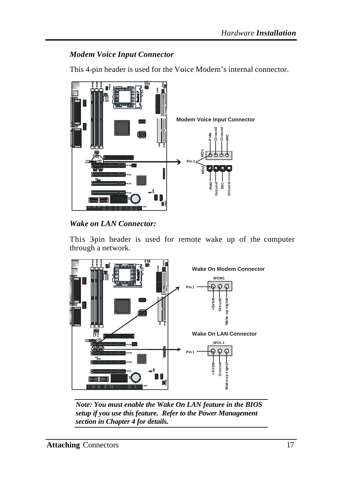#### *Modem Voice Input Connector*

This 4-pin header is used for the Voice Modem's internal connector.



*Wake on LAN Connector:*

This 3-pin header is used for remote wake up of the computer through a network.



*Note: You must enable the Wake On LAN feature in the BIOS setup if you use this feature. Refer to the Power Management section in Chapter 4 for details.*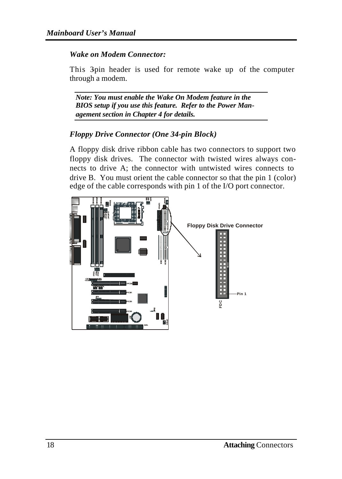#### *Wake on Modem Connector:*

This 3-pin header is used for remote wake up of the computer through a modem.

*Note: You must enable the Wake On Modem feature in the BIOS setup if you use this feature. Refer to the Power Management section in Chapter 4 for details.*

#### *Floppy Drive Connector (One 34-pin Block)*

A floppy disk drive ribbon cable has two connectors to support two floppy disk drives. The connector with twisted wires always connects to drive A; the connector with untwisted wires connects to drive B. You must orient the cable connector so that the pin 1 (color) edge of the cable corresponds with pin 1 of the I/O port connector.

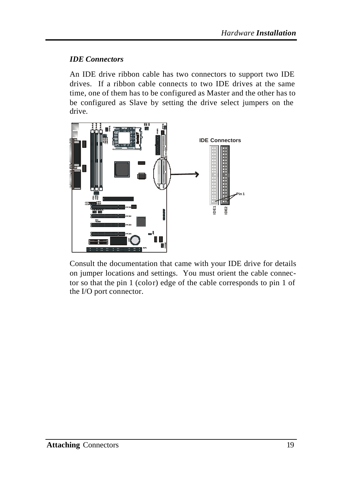#### *IDE Connectors*

An IDE drive ribbon cable has two connectors to support two IDE drives. If a ribbon cable connects to two IDE drives at the same time, one of them has to be configured as Master and the other has to be configured as Slave by setting the drive select jumpers on the drive.



Consult the documentation that came with your IDE drive for details on jumper locations and settings. You must orient the cable connector so that the pin 1 (color) edge of the cable corresponds to pin 1 of the I/O port connector.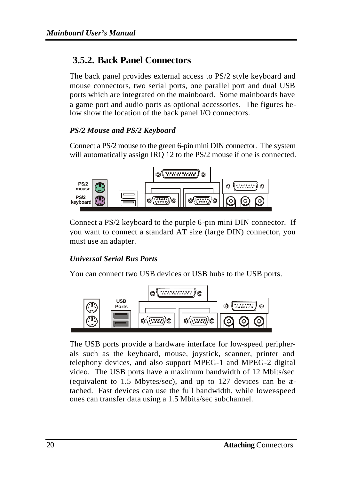### **3.5.2. Back Panel Connectors**

The back panel provides external access to PS/2 style keyboard and mouse connectors, two serial ports, one parallel port and dual USB ports which are integrated on the mainboard. Some mainboards have a game port and audio ports as optional accessories. The figures below show the location of the back panel I/O connectors.

#### *PS/2 Mouse and PS/2 Keyboard*

Connect a PS/2 mouse to the green 6-pin mini DIN connector. The system will automatically assign IRQ 12 to the PS/2 mouse if one is connected.



Connect a PS/2 keyboard to the purple 6-pin mini DIN connector. If you want to connect a standard AT size (large DIN) connector, you must use an adapter.

#### *Universal Serial Bus Ports*

You can connect two USB devices or USB hubs to the USB ports.



The USB ports provide a hardware interface for low-speed peripherals such as the keyboard, mouse, joystick, scanner, printer and telephony devices, and also support MPEG-1 and MPEG-2 digital video. The USB ports have a maximum bandwidth of 12 Mbits/sec (equivalent to 1.5 Mbytes/sec), and up to 127 devices can be attached. Fast devices can use the full bandwidth, while lower-speed ones can transfer data using a 1.5 Mbits/sec subchannel.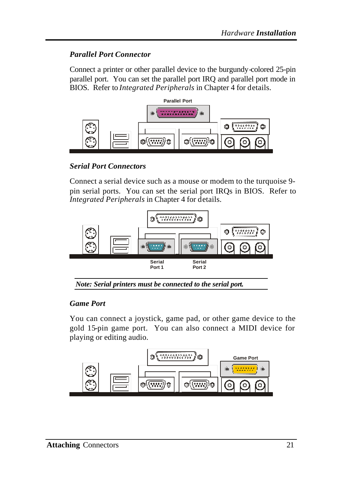#### *Parallel Port Connector*

Connect a printer or other parallel device to the burgundy-colored 25-pin parallel port. You can set the parallel port IRQ and parallel port mode in BIOS. Refer to *Integrated Peripherals* in Chapter 4 for details.



*Serial Port Connectors*

Connect a serial device such as a mouse or modem to the turquoise 9 pin serial ports. You can set the serial port IRQs in BIOS. Refer to *Integrated Peripherals* in Chapter 4 for details.



#### *Game Port*

You can connect a joystick, game pad, or other game device to the gold 15-pin game port. You can also connect a MIDI device for playing or editing audio.

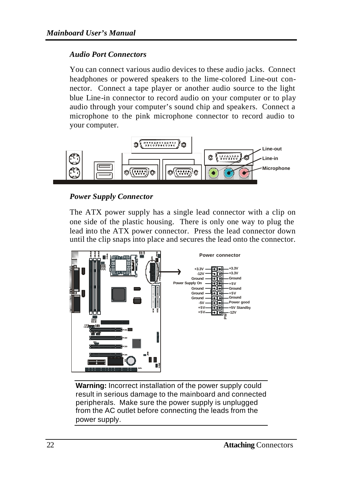#### *Audio Port Connectors*

You can connect various audio devices to these audio jacks. Connect headphones or powered speakers to the lime-colored Line-out connector. Connect a tape player or another audio source to the light blue Line-in connector to record audio on your computer or to play audio through your computer's sound chip and speakers. Connect a microphone to the pink microphone connector to record audio to your computer.



#### *Power Supply Connector*

The ATX power supply has a single lead connector with a clip on one side of the plastic housing. There is only one way to plug the lead into the ATX power connector. Press the lead connector down until the clip snaps into place and secures the lead onto the connector.



**Warning:** Incorrect installation of the power supply could result in serious damage to the mainboard and connected peripherals. Make sure the power supply is unplugged from the AC outlet before connecting the leads from the power supply.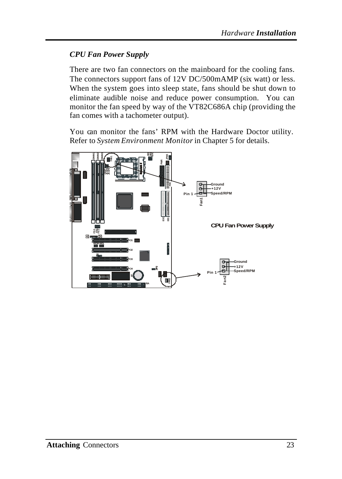### *CPU Fan Power Supply*

There are two fan connectors on the mainboard for the cooling fans. The connectors support fans of 12V DC/500mAMP (six watt) or less. When the system goes into sleep state, fans should be shut down to eliminate audible noise and reduce power consumption. You can monitor the fan speed by way of the VT82C686A chip (providing the fan comes with a tachometer output).

You can monitor the fans' RPM with the Hardware Doctor utility. Refer to *System Environment Monitor*in Chapter 5 for details.

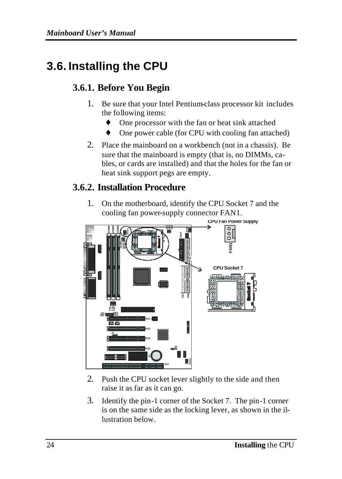# **3.6. Installing the CPU**

### **3.6.1. Before You Begin**

- 1. Be sure that your Intel Pentium-class processor kit includes the following items:
	- ♦ One processor with the fan or heat sink attached
	- One power cable (for CPU with cooling fan attached)
- 2. Place the mainboard on a workbench (not in a chassis). Be sure that the mainboard is empty (that is, no DIMMs, cables, or cards are installed) and that the holes for the fan or heat sink support pegs are empty.

### **3.6.2. Installation Procedure**

1. On the motherboard, identify the CPU Socket 7 and the cooling fan power-supply connector FAN1.



- 2. Push the CPU socket lever slightly to the side and then raise it as far as it can go.
- 3. Identify the pin-1 corner of the Socket 7. The pin-1 corner is on the same side as the locking lever, as shown in the illustration below.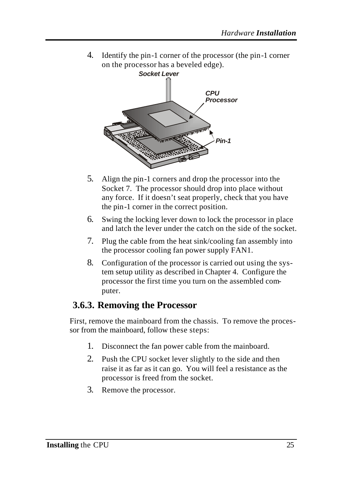4. Identify the pin-1 corner of the processor (the pin-1 corner on the processor has a beveled edge).



- 5. Align the pin-1 corners and drop the processor into the Socket 7. The processor should drop into place without any force. If it doesn't seat properly, check that you have the pin-1 corner in the correct position.
- 6. Swing the locking lever down to lock the processor in place and latch the lever under the catch on the side of the socket.
- 7. Plug the cable from the heat sink/cooling fan assembly into the processor cooling fan power supply FAN1.
- 8. Configuration of the processor is carried out using the system setup utility as described in Chapter 4. Configure the processor the first time you turn on the assembled computer.

### **3.6.3. Removing the Processor**

First, remove the mainboard from the chassis. To remove the processor from the mainboard, follow these steps:

- 1. Disconnect the fan power cable from the mainboard.
- 2. Push the CPU socket lever slightly to the side and then raise it as far as it can go. You will feel a resistance as the processor is freed from the socket.
- 3. Remove the processor.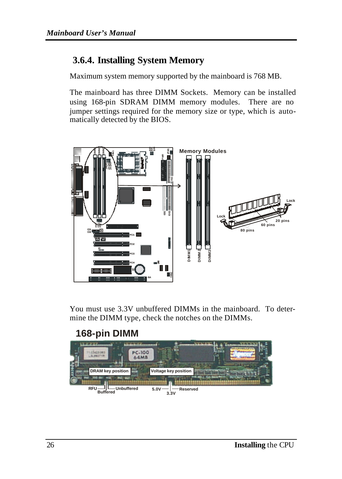### **3.6.4. Installing System Memory**

Maximum system memory supported by the mainboard is 768 MB.

The mainboard has three DIMM Sockets. Memory can be installed using 168-pin SDRAM DIMM memory modules. There are no jumper settings required for the memory size or type, which is automatically detected by the BIOS.



You must use 3.3V unbuffered DIMMs in the mainboard. To determine the DIMM type, check the notches on the DIMMs.

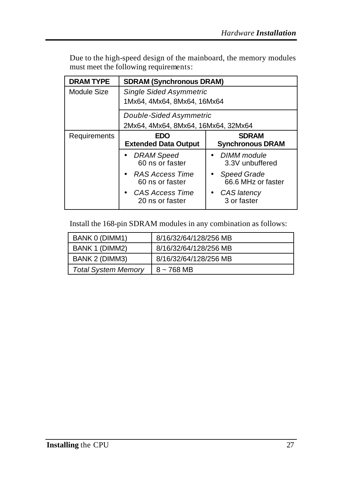| <b>DRAM TYPE</b> | <b>SDRAM (Synchronous DRAM)</b>     |                                   |
|------------------|-------------------------------------|-----------------------------------|
| Module Size      | <b>Single Sided Asymmetric</b>      |                                   |
|                  | 1Mx64, 4Mx64, 8Mx64, 16Mx64         |                                   |
|                  | Double-Sided Asymmetric             |                                   |
|                  | 2Mx64, 4Mx64, 8Mx64, 16Mx64, 32Mx64 |                                   |
| Requirements     | EDO                                 | <b>SDRAM</b>                      |
|                  | <b>Extended Data Output</b>         | <b>Synchronous DRAM</b>           |
|                  | DRAM Speed<br>60 ns or faster       | DIMM module<br>3.3V unbuffered    |
|                  | RAS Access Time<br>60 ns or faster  | Speed Grade<br>66.6 MHz or faster |
|                  | CAS Access Time<br>20 ns or faster  | CAS latency<br>3 or faster        |

Due to the high-speed design of the mainboard, the memory modules must meet the following requirements:

Install the 168-pin SDRAM modules in any combination as follows:

| BANK 0 (DIMM1)             | 8/16/32/64/128/256 MB |
|----------------------------|-----------------------|
| BANK 1 (DIMM2)             | 8/16/32/64/128/256 MB |
| BANK 2 (DIMM3)             | 8/16/32/64/128/256 MB |
| <b>Total System Memory</b> | $8 - 768$ MB          |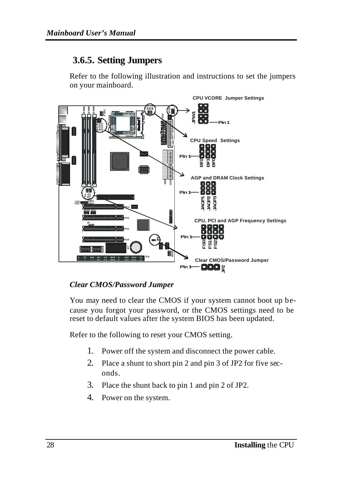### **3.6.5. Setting Jumpers**

Refer to the following illustration and instructions to set the jumpers on your mainboard.



#### *Clear CMOS/Password Jumper*

You may need to clear the CMOS if your system cannot boot up because you forgot your password, or the CMOS settings need to be reset to default values after the system BIOS has been updated.

Refer to the following to reset your CMOS setting.

- 1. Power off the system and disconnect the power cable.
- 2. Place a shunt to short pin 2 and pin 3 of JP2 for five seconds.
- 3. Place the shunt back to pin 1 and pin 2 of JP2.
- 4. Power on the system.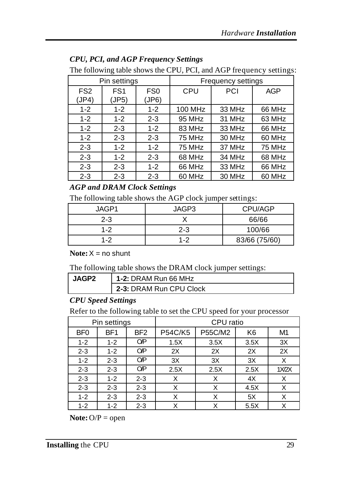| The following table shows the CPU, PCI, and AGP frequency setting |                          |                          |         |                    |        |
|-------------------------------------------------------------------|--------------------------|--------------------------|---------|--------------------|--------|
|                                                                   | Pin settings             |                          |         | Frequency settings |        |
| FS <sub>2</sub><br>(JP4)                                          | FS <sub>1</sub><br>(JP5) | FS <sub>0</sub><br>(JP6) | CPU     | PCI                | AGP    |
| $1 - 2$                                                           | $1 - 2$                  | $1 - 2$                  | 100 MHz | 33 MHz             | 66 MHz |
| $1 - 2$                                                           | $1 - 2$                  | $2 - 3$                  | 95 MHz  | 31 MHz             | 63 MHz |
| $1 - 2$                                                           | $2 - 3$                  | $1 - 2$                  | 83 MHz  | 33 MHz             | 66 MHz |
| $1 - 2$                                                           | $2 - 3$                  | $2 - 3$                  | 75 MHz  | 30 MHz             | 60 MHz |
| $2 - 3$                                                           | $1 - 2$                  | $1 - 2$                  | 75 MHz  | 37 MHz             | 75 MHz |
| $2 - 3$                                                           | $1 - 2$                  | $2 - 3$                  | 68 MHz  | 34 MHz             | 68 MHz |
| $2 - 3$                                                           | $2 - 3$                  | $1 - 2$                  | 66 MHz  | 33 MHz             | 66 MHz |
| $2 - 3$                                                           | $2 - 3$                  | $2 - 3$                  | 60 MHz  | 30 MHz             | 60 MHz |

#### *CPU, PCI, and AGP Frequency Settings*

The following table shows the CPU, PCI, and AGP frequency settings:

#### *AGP and DRAM Clock Settings*

The following table shows the AGP clock jumper settings:

| JAGP1   | JAGP3   | CPU/AGP       |
|---------|---------|---------------|
| $2 - 3$ |         | 66/66         |
| $1 - 2$ | $2 - 3$ | 100/66        |
| $1 - 2$ | $1 - 2$ | 83/66 (75/60) |

**Note:** $X = no$  shunt

The following table shows the DRAM clock jumper settings:

| JAGP2 | 1-2: DRAM Run 66 MHz    |
|-------|-------------------------|
|       | 2-3: DRAM Run CPU Clock |

#### *CPU Speed Settings*

Refer to the following table to set the CPU speed for your processor

|                 | Pin settings    |                 |                | CPU ratio |                |       |
|-----------------|-----------------|-----------------|----------------|-----------|----------------|-------|
| BF <sub>0</sub> | BF <sub>1</sub> | BF <sub>2</sub> | <b>P54C/K5</b> | P55C/M2   | K <sub>6</sub> | M1    |
| $1 - 2$         | $1 - 2$         | ΟP              | 1.5X           | 3.5X      | 3.5X           | 3X    |
| $2 - 3$         | $1 - 2$         | OP              | 2X             | 2X        | 2X             | 2X    |
| $1 - 2$         | $2 - 3$         | OP              | 3X             | 3X        | 3X             | X     |
| $2 - 3$         | $2 - 3$         | OP              | 2.5X           | 2.5X      | 2.5X           | 1X/2X |
| $2 - 3$         | $1 - 2$         | $2 - 3$         | Х              | X         | 4X             | Χ     |
| $2 - 3$         | $2 - 3$         | $2 - 3$         | Х              | X         | 4.5X           | Χ     |
| $1 - 2$         | $2 - 3$         | $2 - 3$         | Χ              | Χ         | 5X             | Χ     |
| $1-2$           | $1-2$           | $2 - 3$         | x              | X         | 5.5X           | X     |

**Note:** O/P = open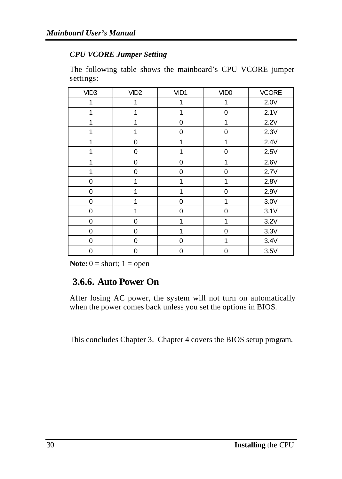#### *CPU VCORE Jumper Setting*

The following table shows the mainboard's CPU VCORE jumper settings:

| VID <sub>3</sub> | VID <sub>2</sub> | VID1         | VID <sub>0</sub> | <b>VCORE</b> |
|------------------|------------------|--------------|------------------|--------------|
| 1                | 1                | 1            | 1                | 2.0V         |
| 1                | 1                | 1            | 0                | 2.1V         |
| 1                | 1                | 0            | 1                | 2.2V         |
| 1                | 1                | 0            | $\mathbf 0$      | 2.3V         |
| 1                | $\mathbf 0$      | 1            | 1                | 2.4V         |
| 1                | $\mathbf 0$      | 1            | 0                | 2.5V         |
| 1                | $\mathbf 0$      | $\mathbf 0$  | 1                | 2.6V         |
| 1                | $\mathbf 0$      | 0            | 0                | 2.7V         |
| 0                | 1                | 1            | 1                | 2.8V         |
| $\mathbf 0$      | 1                | 1            | $\mathbf 0$      | 2.9V         |
| 0                | 1                | $\mathbf 0$  | 1                | 3.0V         |
| 0                | 1                | $\mathbf 0$  | $\mathbf 0$      | 3.1V         |
| 0                | $\mathbf 0$      | 1            | 1                | 3.2V         |
| 0                | 0                | $\mathbf{1}$ | 0                | 3.3V         |
| $\mathbf 0$      | $\mathbf 0$      | $\Omega$     | 1                | 3.4V         |
| 0                | $\mathbf 0$      | $\mathbf 0$  | 0                | 3.5V         |

**Note:**  $0 =$  short;  $1 =$  open

### **3.6.6. Auto Power On**

After losing AC power, the system will not turn on automatically when the power comes back unless you set the options in BIOS.

This concludes Chapter 3. Chapter 4 covers the BIOS setup program.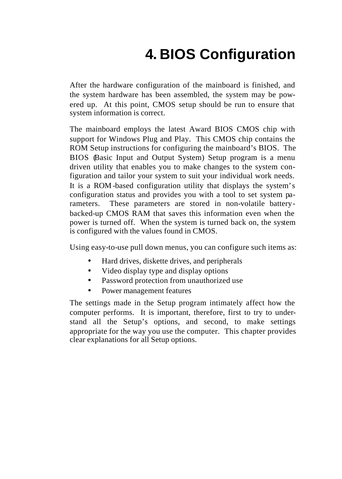# **4. BIOS Configuration**

After the hardware configuration of the mainboard is finished, and the system hardware has been assembled, the system may be powered up. At this point, CMOS setup should be run to ensure that system information is correct.

The mainboard employs the latest Award BIOS CMOS chip with support for Windows Plug and Play. This CMOS chip contains the ROM Setup instructions for configuring the mainboard's BIOS. The BIOS (Basic Input and Output System) Setup program is a menu driven utility that enables you to make changes to the system configuration and tailor your system to suit your individual work needs. It is a ROM-based configuration utility that displays the system's configuration status and provides you with a tool to set system parameters. These parameters are stored in non-volatile batterybacked-up CMOS RAM that saves this information even when the power is turned off. When the system is turned back on, the system is configured with the values found in CMOS.

Using easy-to-use pull down menus, you can configure such items as:

- Hard drives, diskette drives, and peripherals
- Video display type and display options
- Password protection from unauthorized use
- Power management features

The settings made in the Setup program intimately affect how the computer performs. It is important, therefore, first to try to understand all the Setup's options, and second, to make settings appropriate for the way you use the computer. This chapter provides clear explanations for all Setup options.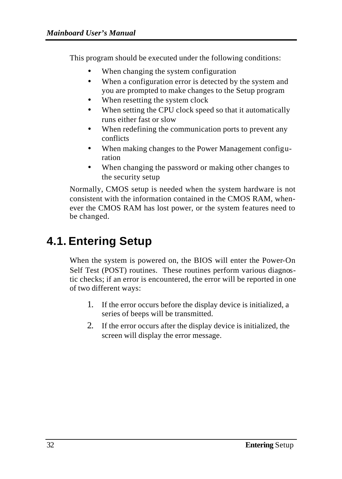This program should be executed under the following conditions:

- When changing the system configuration
- When a configuration error is detected by the system and you are prompted to make changes to the Setup program
- When resetting the system clock
- When setting the CPU clock speed so that it automatically runs either fast or slow
- When redefining the communication ports to prevent any conflicts
- When making changes to the Power Management configuration
- When changing the password or making other changes to the security setup

Normally, CMOS setup is needed when the system hardware is not consistent with the information contained in the CMOS RAM, whenever the CMOS RAM has lost power, or the system features need to be changed.

# **4.1. Entering Setup**

When the system is powered on, the BIOS will enter the Power-On Self Test (POST) routines. These routines perform various diagnostic checks; if an error is encountered, the error will be reported in one of two different ways:

- 1. If the error occurs before the display device is initialized, a series of beeps will be transmitted.
- 2. If the error occurs after the display device is initialized, the screen will display the error message.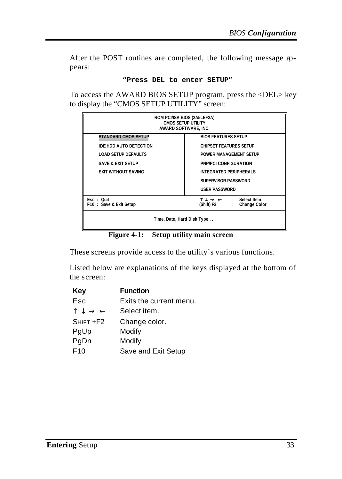After the POST routines are completed, the following message appears:

#### **"Press DEL to enter SETUP"**

To access the AWARD BIOS SETUP program, press the <DEL> key to display the "CMOS SETUP UTILITY" screen:

| ROM PCI/ISA BIOS (2A5LEF2A)<br><b>CMOS SETUP UTILITY</b><br>AWARD SOFTWARE, INC.              |                               |  |  |  |
|-----------------------------------------------------------------------------------------------|-------------------------------|--|--|--|
| <b>STANDARD CMOS SETUP</b>                                                                    | <b>BIOS FEATURES SETUP</b>    |  |  |  |
| <b>IDE HDD AUTO DETECTION</b>                                                                 | <b>CHIPSET FEATURES SETUP</b> |  |  |  |
| <b>LOAD SETUP DEFAULTS</b>                                                                    | POWER MANAGEMENT SETUP        |  |  |  |
| <b>SAVE &amp; EXIT SETUP</b>                                                                  | PNP/PCI CONFIGURATION         |  |  |  |
| <b>EXIT WITHOUT SAVING</b>                                                                    | <b>INTEGRATED PERIPHERALS</b> |  |  |  |
|                                                                                               | SUPERVISOR PASSWORD           |  |  |  |
|                                                                                               | <b>USER PASSWORD</b>          |  |  |  |
| Select Item<br>Esc: Quit<br>÷.<br>(Shift) F2<br>F10: Save & Exit Setup<br><b>Change Color</b> |                               |  |  |  |
| Time, Date, Hard Disk Type                                                                    |                               |  |  |  |

**Figure 4-1: Setup utility main screen**

These screens provide access to the utility's various functions.

Listed below are explanations of the keys displayed at the bottom of the screen:

| Key                                          | <b>Function</b>         |
|----------------------------------------------|-------------------------|
| Esc                                          | Exits the current menu. |
| $\uparrow \downarrow \rightarrow \leftarrow$ | Select item.            |
| SHIFT +F2                                    | Change color.           |
| PgUp                                         | Modify                  |
| PgDn                                         | Modify                  |
| F <sub>10</sub>                              | Save and Exit Setup     |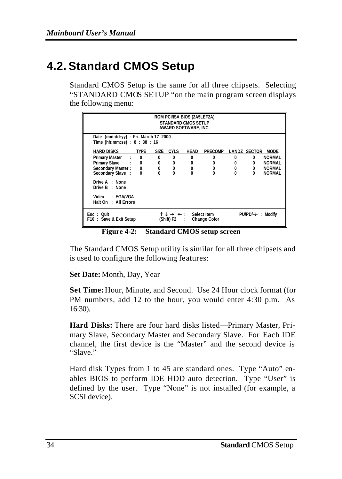# **4.2. Standard CMOS Setup**

Standard CMOS Setup is the same for all three chipsets. Selecting "STANDARD CMOS SETUP "on the main program screen displays the following menu:

|                                                                       |               |              |             | ROM PCI/ISA BIOS (2A5LEF2A)<br><b>STANDARD CMOS SETUP</b><br>AWARD SOFTWARE, INC. |                                    |          |                      |               |
|-----------------------------------------------------------------------|---------------|--------------|-------------|-----------------------------------------------------------------------------------|------------------------------------|----------|----------------------|---------------|
| Date (mm:dd:yy) : Fri, March 17 2000<br>Time (hh:mm:ss) : 8 : 38 : 16 |               |              |             |                                                                                   |                                    |          |                      |               |
| HARD DISKS                                                            | <b>TYPE</b>   | SIZE         | <b>CYLS</b> | <b>HEAD</b>                                                                       | <b>PRECOMP</b>                     |          | LANDZ SECTOR         | <b>MODE</b>   |
| <b>Primary Master</b><br><b>COLLECTION</b>                            | 0             | $\mathbf{0}$ | $\bf{0}$    | $\Omega$                                                                          | <sup>0</sup>                       | 0        | $\mathbf{0}$         | <b>NORMAL</b> |
| <b>Primary Slave</b>                                                  | $\cdot$ : 0   | 0            | 0           | 0                                                                                 |                                    | 0        | $\mathbf{0}$         | <b>NORMAL</b> |
| Secondary Master:                                                     | $\frac{0}{0}$ | 0            | 0           | 0                                                                                 | 0                                  | 0        | 0                    | <b>NORMAL</b> |
| Secondary Slave:                                                      | $\Omega$      | $\Omega$     | $\Omega$    | $\Omega$                                                                          | $\Omega$                           | $\Omega$ | $\Omega$             | <b>NORMAL</b> |
| Drive A : None<br>Drive B: None                                       |               |              |             |                                                                                   |                                    |          |                      |               |
| Video : EGA/VGA<br>Halt On : All Errors                               |               |              |             |                                                                                   |                                    |          |                      |               |
| $Esc : 0$ uit<br>F10: Save & Exit Setup                               |               |              | (Shift) F2  | $\blacksquare$ :<br>÷                                                             | Select Item<br><b>Change Color</b> |          | $PU/PD/+/-$ : Modify |               |

**Figure 4-2: Standard CMOS setup screen**

The Standard CMOS Setup utility is similar for all three chipsets and is used to configure the following features:

**Set Date:** Month, Day, Year

**Set Time:** Hour, Minute, and Second. Use 24 Hour clock format (for PM numbers, add 12 to the hour, you would enter 4:30 p.m. As 16:30).

**Hard Disks:** There are four hard disks listed—Primary Master, Primary Slave, Secondary Master and Secondary Slave. For Each IDE channel, the first device is the "Master" and the second device is "Slave."

Hard disk Types from 1 to 45 are standard ones. Type "Auto" enables BIOS to perform IDE HDD auto detection. Type "User" is defined by the user. Type "None" is not installed (for example, a SCSI device).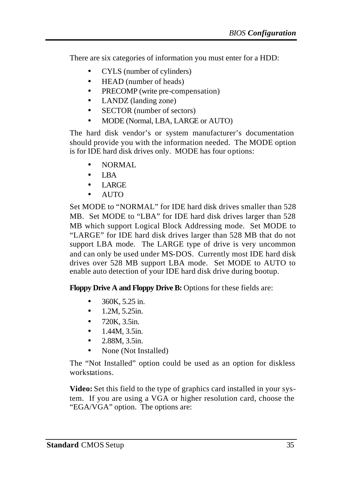There are six categories of information you must enter for a HDD:

- CYLS (number of cylinders)
- HEAD (number of heads)
- PRECOMP (write pre-compensation)
- LANDZ (landing zone)
- SECTOR (number of sectors)
- MODE (Normal, LBA, LARGE or AUTO)

The hard disk vendor's or system manufacturer's documentation should provide you with the information needed. The MODE option is for IDE hard disk drives only. MODE has four options:

- NORMAL
- LBA
- LARGE
- AUTO

Set MODE to "NORMAL" for IDE hard disk drives smaller than 528 MB. Set MODE to "LBA" for IDE hard disk drives larger than 528 MB which support Logical Block Addressing mode. Set MODE to "LARGE" for IDE hard disk drives larger than 528 MB that do not support LBA mode. The LARGE type of drive is very uncommon and can only be used under MS-DOS. Currently most IDE hard disk drives over 528 MB support LBA mode. Set MODE to AUTO to enable auto detection of your IDE hard disk drive during bootup.

**Floppy Drive A and Floppy Drive B:** Options for these fields are:

- 360K, 5.25 in.
- $1.2M, 5.25in.$
- 720K, 3.5in.
- 1.44M, 3.5in.
- 2.88M, 3.5in.
- None (Not Installed)

The "Not Installed" option could be used as an option for diskless workstations.

**Video:** Set this field to the type of graphics card installed in your system. If you are using a VGA or higher resolution card, choose the "EGA/VGA" option. The options are: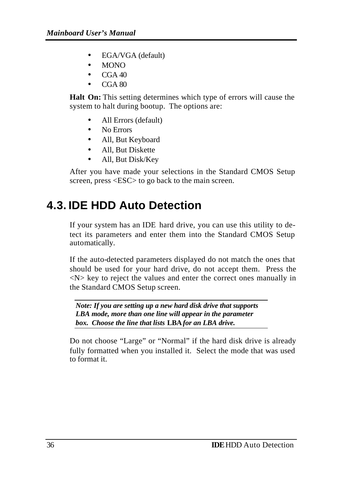- EGA/VGA (default)
- MONO
- CGA 40
- CGA 80

**Halt On:** This setting determines which type of errors will cause the system to halt during bootup. The options are:

- All Errors (default)
- No Errors
- All, But Keyboard
- All, But Diskette
- All, But Disk/Key

After you have made your selections in the Standard CMOS Setup screen, press <ESC> to go back to the main screen.

### **4.3. IDE HDD Auto Detection**

If your system has an IDE hard drive, you can use this utility to detect its parameters and enter them into the Standard CMOS Setup automatically.

If the auto-detected parameters displayed do not match the ones that should be used for your hard drive, do not accept them. Press the  $\langle N \rangle$  key to reject the values and enter the correct ones manually in the Standard CMOS Setup screen.

*Note: If you are setting up a new hard disk drive that supports LBA mode, more than one line will appear in the parameter box. Choose the line that lists* **LBA** *for an LBA drive.*

Do not choose "Large" or "Normal" if the hard disk drive is already fully formatted when you installed it. Select the mode that was used to format it.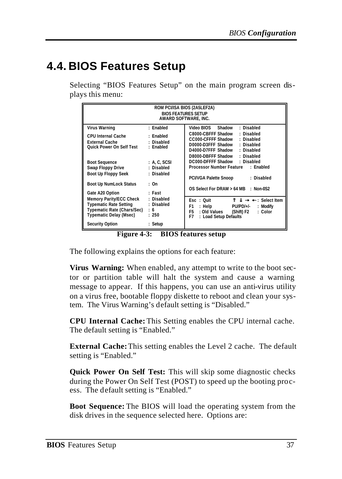### **4.4. BIOS Features Setup**

Selecting "BIOS Features Setup" on the main program screen displays this menu:

| ROM PCI/ISA BIOS (2A5LEF2A)<br><b>BIOS FEATURES SETUP</b><br>AWARD SOFTWARE. INC.                                                          |                                                            |                                                                                                                                                                                                                        |  |
|--------------------------------------------------------------------------------------------------------------------------------------------|------------------------------------------------------------|------------------------------------------------------------------------------------------------------------------------------------------------------------------------------------------------------------------------|--|
| <b>Virus Warning</b><br><b>CPU Internal Cache</b><br><b>External Cache</b><br>Quick Power On Self Test                                     | : Enabled<br>: Enabled<br>: Disabled<br>: Enabled          | Video BIOS<br>Shadow<br>: Disabled<br>C8000-CBFFF Shadow<br>: Disabled<br>CC000-CFFFF Shadow<br>: Disabled<br>D0000-D3FFF Shadow<br>: Disabled<br>D4000-D7FFF Shadow<br>: Disabled<br>D8000-DBFFF Shadow<br>: Disabled |  |
| <b>Boot Sequence</b><br>Swap Floppy Drive<br>Boot Up Floppy Seek<br><b>Boot Up NumLock Status</b><br>Gate A20 Option                       | : A, C, SCSI<br>: Disabled<br>: Disabled<br>: On<br>: Fast | DC000-DFFFF Shadow<br>: Disabled<br>Processor Number Feature<br>: Enabled<br>: Disabled<br>PCI/VGA Palette Snoop<br>OS Select For DRAM > 64 MB : Non-0S2                                                               |  |
| Memory Parity/ECC Check<br><b>Typematic Rate Setting</b><br>Typematic Rate (Chars/Sec)<br>Typematic Delay (Msec)<br><b>Security Option</b> | : Disabled<br>: Disabled<br>: 6<br>: 250<br>: Setup        | $\bullet$ $\bullet$ : Select Item<br>$Esc \div Out$<br>- -<br>$PU/PD/+/-$<br>: Help<br>: Modify<br>F1<br>: Old Values<br>F5<br>: Color<br>(Shift) F2<br>F7<br>: Load Setup Defaults                                    |  |

**Figure 4-3: BIOS features setup**

The following explains the options for each feature:

**Virus Warning:** When enabled, any attempt to write to the boot sector or partition table will halt the system and cause a warning message to appear. If this happens, you can use an anti-virus utility on a virus free, bootable floppy diskette to reboot and clean your system. The Virus Warning's default setting is "Disabled."

**CPU Internal Cache:** This Setting enables the CPU internal cache. The default setting is "Enabled."

**External Cache:** This setting enables the Level 2 cache. The default setting is "Enabled."

**Quick Power On Self Test:** This will skip some diagnostic checks during the Power On Self Test (POST) to speed up the booting process. The default setting is "Enabled."

**Boot Sequence:** The BIOS will load the operating system from the disk drives in the sequence selected here. Options are: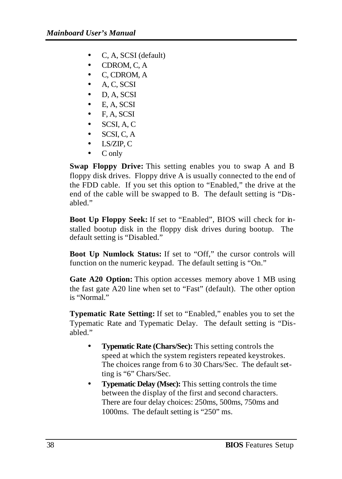- C, A, SCSI (default)
- CDROM, C, A
- C, CDROM, A
- A, C, SCSI
- D, A, SCSI
- E, A, SCSI
- $\bullet$  F, A, SCSI
- SCSI, A, C
- SCSI, C, A
- LS/ZIP, C
- C only

**Swap Floppy Drive:** This setting enables you to swap A and B floppy disk drives. Floppy drive A is usually connected to the end of the FDD cable. If you set this option to "Enabled," the drive at the end of the cable will be swapped to B. The default setting is "Disabled."

**Boot Up Floppy Seek:** If set to "Enabled", BIOS will check for installed bootup disk in the floppy disk drives during bootup. The default setting is "Disabled."

**Boot Up Numlock Status:** If set to "Off," the cursor controls will function on the numeric keypad. The default setting is "On."

**Gate A20 Option:** This option accesses memory above 1 MB using the fast gate A20 line when set to "Fast" (default). The other option is "Normal."

**Typematic Rate Setting:** If set to "Enabled," enables you to set the Typematic Rate and Typematic Delay. The default setting is "Disabled."

- **Typematic Rate (Chars/Sec):** This setting controls the speed at which the system registers repeated keystrokes. The choices range from 6 to 30 Chars/Sec. The default setting is "6" Chars/Sec.
- **Typematic Delay (Msec):** This setting controls the time between the display of the first and second characters. There are four delay choices: 250ms, 500ms, 750ms and 1000ms. The default setting is "250" ms.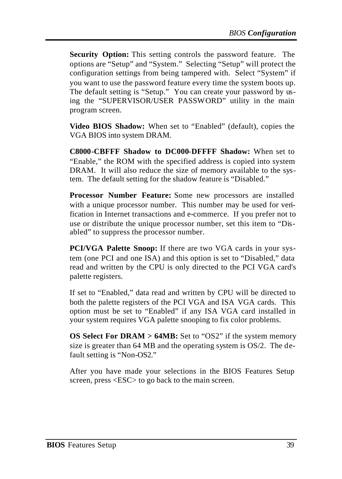**Security Option:** This setting controls the password feature. The options are "Setup" and "System." Selecting "Setup" will protect the configuration settings from being tampered with. Select "System" if you want to use the password feature every time the system boots up. The default setting is "Setup." You can create your password by using the "SUPERVISOR/USER PASSWORD" utility in the main program screen.

**Video BIOS Shadow:** When set to "Enabled" (default), copies the VGA BIOS into system DRAM.

**C8000-CBFFF Shadow to DC000-DFFFF Shadow:** When set to "Enable," the ROM with the specified address is copied into system DRAM. It will also reduce the size of memory available to the system. The default setting for the shadow feature is "Disabled."

**Processor Number Feature:** Some new processors are installed with a unique processor number. This number may be used for verification in Internet transactions and e-commerce. If you prefer not to use or distribute the unique processor number, set this item to "Disabled" to suppress the processor number.

**PCI/VGA Palette Snoop:** If there are two VGA cards in your system (one PCI and one ISA) and this option is set to "Disabled," data read and written by the CPU is only directed to the PCI VGA card's palette registers.

If set to "Enabled," data read and written by CPU will be directed to both the palette registers of the PCI VGA and ISA VGA cards. This option must be set to "Enabled" if any ISA VGA card installed in your system requires VGA palette snooping to fix color problems.

**OS Select For DRAM > 64MB:** Set to "OS2" if the system memory size is greater than 64 MB and the operating system is OS/2. The default setting is "Non-OS2."

After you have made your selections in the BIOS Features Setup screen, press <ESC> to go back to the main screen.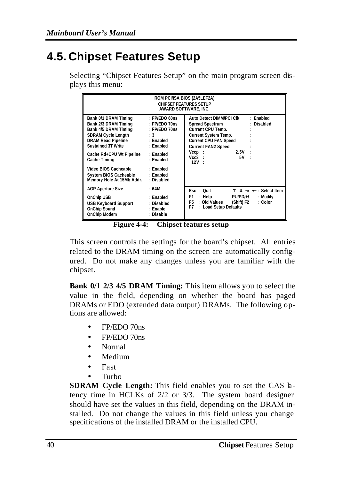# **4.5. Chipset Features Setup**

| ROM PCI/ISA BIOS (2A5LEF2A)<br><b>CHIPSET FEATURES SETUP</b><br>AWARD SOFTWARE, INC.                                                                                                                                                                                                                                                                          |                                |                                                                                                                                                                                                                                          |  |
|---------------------------------------------------------------------------------------------------------------------------------------------------------------------------------------------------------------------------------------------------------------------------------------------------------------------------------------------------------------|--------------------------------|------------------------------------------------------------------------------------------------------------------------------------------------------------------------------------------------------------------------------------------|--|
| Bank 0/1 DRAM Timing<br>Bank 2/3 DRAM Timing : FP/EDO 70ns<br>Bank 4/5 DRAM Timing : FP/EDO 70ns<br>SDRAM Cycle Length : 3<br>DRAM Read Pipeline : Enabled<br>Sustained 3T Write : Enabled<br>Cache Rd+CPU Wt Pipeline : Enabled<br>Cache Timing<br>Video BIOS Cacheable : Enabled<br>System BIOS Cacheable : Enabled<br>Memory Hole At 15Mb Addr. : Disabled | $:$ FP/EDO 60ns<br>: Enabled   | : Enabled<br>Auto Detect DIMM/PCI CIK<br>: Disabled<br>Spread Spectrum<br>Current CPU Temp.<br><b>Current System Temp.</b><br><b>Current CPU FAN Speed</b><br><b>Current FAN2 Speed</b><br>2.5V<br>$Vccp$ :<br>$Vcc3$ :<br>5V :<br>12V : |  |
| <b>AGP Aperture Size</b><br>OnChip USB<br>USB Keyboard Support : Disabled<br>OnChip Sound : Enable<br>OnChip Modem                                                                                                                                                                                                                                            | :64M<br>: Enabled<br>: Disable | Esc: Quit<br>$ \blacksquare$ $\blacksquare$ : Select Item<br>F1 : Help PU/PD/+/-<br>: Modify<br>F5 : Old Values<br>: Color<br>(Shift) F2<br>F7 : Load Setup Defaults                                                                     |  |

Selecting "Chipset Features Setup" on the main program screen displays this menu:

**Figure 4-4: Chipset features setup**

This screen controls the settings for the board's chipset. All entries related to the DRAM timing on the screen are automatically configured. Do not make any changes unless you are familiar with the chipset.

**Bank 0/1 2/3 4/5 DRAM Timing:** This item allows you to select the value in the field, depending on whether the board has paged DRAMs or EDO (extended data output) DRAMs. The following options are allowed:

- FP/EDO 70ns
- FP/EDO 70ns
- Normal
- Medium
- Fast
- Turbo

**SDRAM Cycle Length:** This field enables you to set the CAS latency time in HCLKs of 2/2 or 3/3. The system board designer should have set the values in this field, depending on the DRAM installed. Do not change the values in this field unless you change specifications of the installed DRAM or the installed CPU.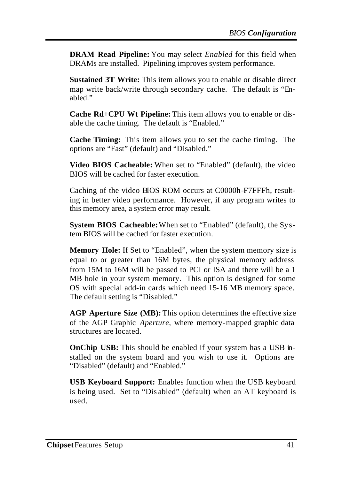**DRAM Read Pipeline:** You may select *Enabled* for this field when DRAMs are installed. Pipelining improves system performance.

**Sustained 3T Write:** This item allows you to enable or disable direct map write back/write through secondary cache. The default is "Enabled."

**Cache Rd+CPU Wt Pipeline:** This item allows you to enable or disable the cache timing. The default is "Enabled."

**Cache Timing:** This item allows you to set the cache timing. The options are "Fast" (default) and "Disabled."

**Video BIOS Cacheable:** When set to "Enabled" (default), the video BIOS will be cached for faster execution.

Caching of the video BIOS ROM occurs at C0000h-F7FFFh, resulting in better video performance. However, if any program writes to this memory area, a system error may result.

**System BIOS Cacheable:** When set to "Enabled" (default), the System BIOS will be cached for faster execution.

**Memory Hole:** If Set to "Enabled", when the system memory size is equal to or greater than 16M bytes, the physical memory address from 15M to 16M will be passed to PCI or ISA and there will be a 1 MB hole in your system memory. This option is designed for some OS with special add-in cards which need 15-16 MB memory space. The default setting is "Disabled."

**AGP Aperture Size (MB):** This option determines the effective size of the AGP Graphic *Aperture*, where memory-mapped graphic data structures are located.

**OnChip USB:** This should be enabled if your system has a USB installed on the system board and you wish to use it. Options are "Disabled" (default) and "Enabled."

**USB Keyboard Support:** Enables function when the USB keyboard is being used. Set to "Dis abled" (default) when an AT keyboard is used.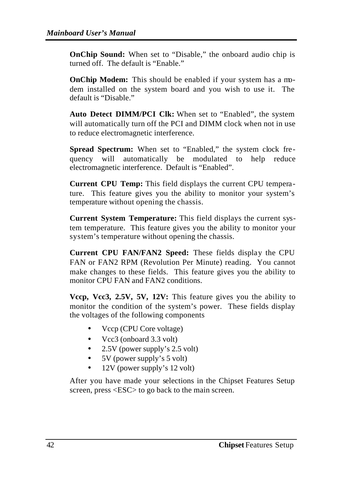**OnChip Sound:** When set to "Disable," the onboard audio chip is turned off. The default is "Enable."

**OnChip Modem:** This should be enabled if your system has a modem installed on the system board and you wish to use it. The default is "Disable."

**Auto Detect DIMM/PCI Clk:** When set to "Enabled", the system will automatically turn off the PCI and DIMM clock when not in use to reduce electromagnetic interference.

**Spread Spectrum:** When set to "Enabled," the system clock frequency will automatically be modulated to help reduce electromagnetic interference. Default is "Enabled".

**Current CPU Temp:** This field displays the current CPU temperature. This feature gives you the ability to monitor your system's temperature without opening the chassis.

**Current System Temperature:** This field displays the current system temperature. This feature gives you the ability to monitor your system's temperature without opening the chassis.

**Current CPU FAN/FAN2 Speed:** These fields display the CPU FAN or FAN2 RPM (Revolution Per Minute) reading. You cannot make changes to these fields. This feature gives you the ability to monitor CPU FAN and FAN2 conditions.

**Vccp, Vcc3, 2.5V, 5V, 12V:** This feature gives you the ability to monitor the condition of the system's power. These fields display the voltages of the following components

- Vccp (CPU Core voltage)
- Vcc3 (onboard 3.3 volt)
- 2.5V (power supply's 2.5 volt)
- 5V (power supply's 5 volt)
- 12V (power supply's 12 volt)

After you have made your selections in the Chipset Features Setup screen, press <ESC> to go back to the main screen.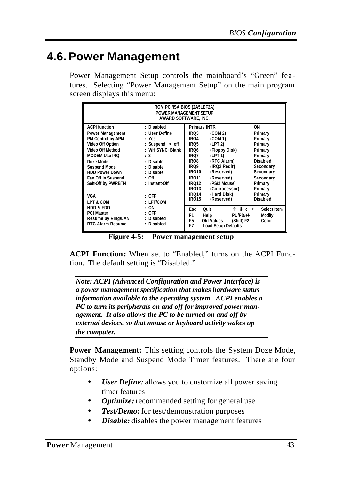### **4.6. Power Management**

Power Management Setup controls the mainboard's "Green" features. Selecting "Power Management Setup" on the main program screen displays this menu:

| ROM PCI/ISA BIOS (2A5LEF2A)<br>POWER MANAGEMENT SETUP<br>AWARD SOFTWARE. INC.                                                                                     |                                                                                                              |                                                                                                                                                                                                                                          |                                                                                                    |  |
|-------------------------------------------------------------------------------------------------------------------------------------------------------------------|--------------------------------------------------------------------------------------------------------------|------------------------------------------------------------------------------------------------------------------------------------------------------------------------------------------------------------------------------------------|----------------------------------------------------------------------------------------------------|--|
| <b>ACPI function</b><br>Power Management<br>PM Control by APM<br>Video Off Option<br>Video Off Method<br><b>MODEM Use IRO</b><br>Doze Mode<br><b>Suspend Mode</b> | : Disabled<br>: User Define<br>: Yes<br>: Suspend @ off<br>: V/H SYNC+Blank<br>: 3<br>: Disable<br>: Disable | Primary INTR<br>IRO <sub>3</sub><br>(COM 2)<br>IR <sub>O4</sub><br>(COM 1)<br>IR <sub>O5</sub><br>(LPT 2)<br>IR <sub>O6</sub><br>(Floppy Disk)<br>IR <sub>07</sub><br>(LPT 1)<br>(RTC Alarm)<br>IRO8<br>IRO <sub>9</sub><br>(IRQ2 Redir) | : ON<br>: Primary<br>: Primary<br>: Primary<br>: Primary<br>: Primary<br>: Disabled<br>: Secondary |  |
| <b>HDD Power Down</b><br>Fan Off In Suspend<br>Soft-Off by PWRBTN<br><b>VGA</b><br>LPT & COM                                                                      | : Disable<br>$:$ Off<br>: Instant-Off<br>$:$ OFF<br>: LPT/COM                                                | <b>IRO10</b><br>(Reserved)<br><b>IRO11</b><br>(Reserved)<br>(PS/2 Mouse)<br><b>IRO12</b><br><b>IRO13</b><br>(Coprocessor)<br>(Hard Disk)<br><b>IRO14</b><br>(Reserved)<br><b>IRQ15</b>                                                   | : Secondary<br>: Secondary<br>: Primary<br>: Primary<br>: Primary<br>: Disabled                    |  |
| HDD & FDD<br><b>PCI Master</b><br>Resume by Ring/LAN<br><b>RTC Alarm Resume</b>                                                                                   | : ON<br>$:$ OFF<br>: Disabled<br>: Disabled                                                                  | $Esc \div Out$<br>PU/PD/+/-<br>F1<br>: Help<br>F <sub>5</sub><br>: Old Values<br>(Shift) F2<br>F7<br>: Load Setup Defaults                                                                                                               | $\lnot$ : Select Item<br>C.<br>: Modify<br>: Color                                                 |  |

**Figure 4-5: Power management setup**

**ACPI Function:** When set to "Enabled," turns on the ACPI Function. The default setting is "Disabled."

*Note: ACPI (Advanced Configuration and Power Interface) is a power management specification that makes hardware status information available to the operating system. ACPI enables a PC to turn its peripherals on and off for improved power management. It also allows the PC to be turned on and off by external devices, so that mouse or keyboard activity wakes up the computer.* 

**Power Management:** This setting controls the System Doze Mode, Standby Mode and Suspend Mode Timer features. There are four options:

- *User Define:* allows you to customize all power saving timer features
- *Optimize:* recommended setting for general use
- *Test/Demo:* for test/demonstration purposes
- *Disable:* disables the power management features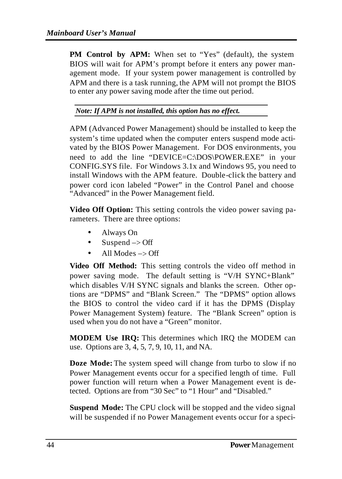**PM Control by APM:** When set to "Yes" (default), the system BIOS will wait for APM's prompt before it enters any power management mode. If your system power management is controlled by APM and there is a task running, the APM will not prompt the BIOS to enter any power saving mode after the time out period.

*Note: If APM is not installed, this option has no effect.*

APM (Advanced Power Management) should be installed to keep the system's time updated when the computer enters suspend mode activated by the BIOS Power Management. For DOS environments, you need to add the line "DEVICE=C:\DOS\POWER.EXE" in your CONFIG.SYS file. For Windows 3.1x and Windows 95, you need to install Windows with the APM feature. Double-click the battery and power cord icon labeled "Power" in the Control Panel and choose "Advanced" in the Power Management field.

**Video Off Option:** This setting controls the video power saving parameters. There are three options:

- Always On
- Suspend  $\rightarrow$  Off
- All Modes  $\rightarrow$  Off

**Video Off Method:** This setting controls the video off method in power saving mode. The default setting is "V/H SYNC+Blank" which disables V/H SYNC signals and blanks the screen. Other options are "DPMS" and "Blank Screen." The "DPMS" option allows the BIOS to control the video card if it has the DPMS (Display Power Management System) feature. The "Blank Screen" option is used when you do not have a "Green" monitor.

**MODEM Use IRQ:** This determines which IRQ the MODEM can use. Options are 3, 4, 5, 7, 9, 10, 11, and NA.

**Doze Mode:** The system speed will change from turbo to slow if no Power Management events occur for a specified length of time. Full power function will return when a Power Management event is detected. Options are from "30 Sec" to "1 Hour" and "Disabled."

**Suspend Mode:** The CPU clock will be stopped and the video signal will be suspended if no Power Management events occur for a speci-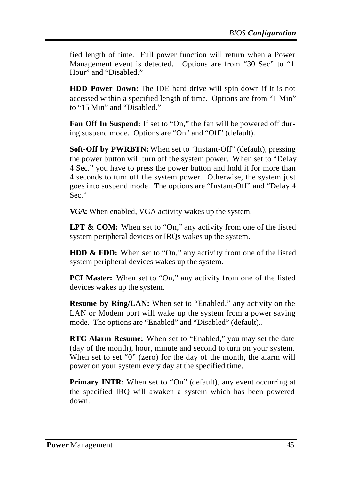fied length of time. Full power function will return when a Power Management event is detected. Options are from "30 Sec" to "1 Hour" and "Disabled."

**HDD Power Down:** The IDE hard drive will spin down if it is not accessed within a specified length of time. Options are from "1 Min" to "15 Min" and "Disabled."

**Fan Off In Suspend:** If set to "On," the fan will be powered off during suspend mode. Options are "On" and "Off" (default).

**Soft-Off by PWRBTN:** When set to "Instant-Off" (default), pressing the power button will turn off the system power. When set to "Delay 4 Sec." you have to press the power button and hold it for more than 4 seconds to turn off the system power. Otherwise, the system just goes into suspend mode. The options are "Instant-Off" and "Delay 4 Sec."

**VGA:** When enabled, VGA activity wakes up the system.

LPT & COM: When set to "On," any activity from one of the listed system peripheral devices or IRQs wakes up the system.

**HDD & FDD:** When set to "On," any activity from one of the listed system peripheral devices wakes up the system.

**PCI Master:** When set to "On," any activity from one of the listed devices wakes up the system.

**Resume by Ring/LAN:** When set to "Enabled," any activity on the LAN or Modem port will wake up the system from a power saving mode. The options are "Enabled" and "Disabled" (default)..

**RTC Alarm Resume:** When set to "Enabled," you may set the date (day of the month), hour, minute and second to turn on your system. When set to set "0" (zero) for the day of the month, the alarm will power on your system every day at the specified time.

**Primary INTR:** When set to "On" (default), any event occurring at the specified IRQ will awaken a system which has been powered down.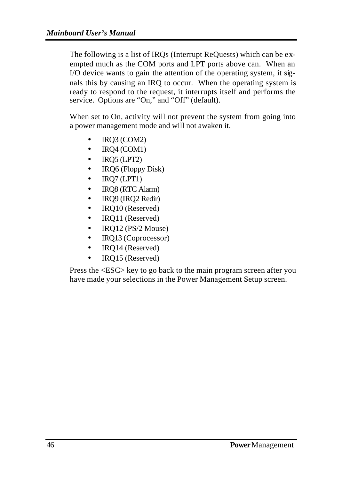The following is a list of IRQs (Interrupt ReQuests) which can be exempted much as the COM ports and LPT ports above can. When an I/O device wants to gain the attention of the operating system, it signals this by causing an IRQ to occur. When the operating system is ready to respond to the request, it interrupts itself and performs the service. Options are "On," and "Off" (default).

When set to On, activity will not prevent the system from going into a power management mode and will not awaken it.

- IRQ3 (COM2)
- IRQ4 (COM1)
- IRQ5 (LPT2)
- IRQ6 (Floppy Disk)
- IRQ7 (LPT1)
- IRQ8 (RTC Alarm)
- IRQ9 (IRQ2 Redir)
- IRQ10 (Reserved)
- IRQ11 (Reserved)
- IRQ12 (PS/2 Mouse)
- IRQ13 (Coprocessor)
- IRQ14 (Reserved)
- IRQ15 (Reserved)

Press the <ESC> key to go back to the main program screen after you have made your selections in the Power Management Setup screen.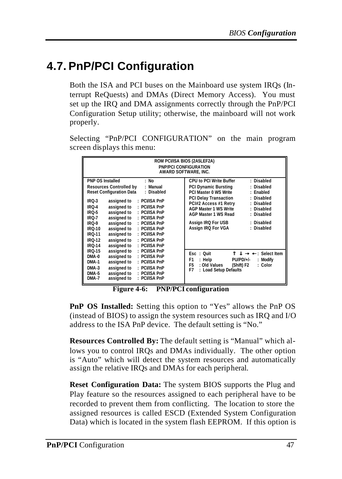## **4.7. PnP/PCI Configuration**

Both the ISA and PCI buses on the Mainboard use system IRQs (Interrupt ReQuests) and DMAs (Direct Memory Access). You must set up the IRQ and DMA assignments correctly through the PnP/PCI Configuration Setup utility; otherwise, the mainboard will not work properly.

Selecting "PnP/PCI CONFIGURATION" on the main program screen displays this menu:

**Figure 4-6: PNP/PCI configuration**

**PnP OS Installed:** Setting this option to "Yes" allows the PnP OS (instead of BIOS) to assign the system resources such as IRQ and I/O address to the ISA PnP device. The default setting is "No."

**Resources Controlled By:** The default setting is "Manual" which allows you to control IRQs and DMAs individually. The other option is "Auto" which will detect the system resources and automatically assign the relative IRQs and DMAs for each peripheral.

**Reset Configuration Data:** The system BIOS supports the Plug and Play feature so the resources assigned to each peripheral have to be recorded to prevent them from conflicting. The location to store the assigned resources is called ESCD (Extended System Configuration Data) which is located in the system flash EEPROM. If this option is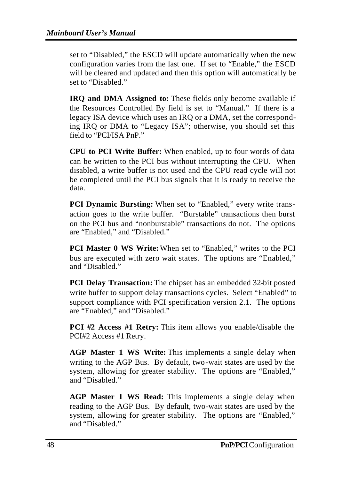set to "Disabled," the ESCD will update automatically when the new configuration varies from the last one. If set to "Enable," the ESCD will be cleared and updated and then this option will automatically be set to "Disabled."

**IRQ and DMA Assigned to:** These fields only become available if the Resources Controlled By field is set to "Manual." If there is a legacy ISA device which uses an IRQ or a DMA, set the corresponding IRQ or DMA to "Legacy ISA"; otherwise, you should set this field to "PCI/ISA PnP."

**CPU to PCI Write Buffer:** When enabled, up to four words of data can be written to the PCI bus without interrupting the CPU. When disabled, a write buffer is not used and the CPU read cycle will not be completed until the PCI bus signals that it is ready to receive the data.

**PCI Dynamic Bursting:** When set to "Enabled," every write transaction goes to the write buffer. "Burstable" transactions then burst on the PCI bus and "nonburstable" transactions do not. The options are "Enabled," and "Disabled."

**PCI Master 0 WS Write:** When set to "Enabled," writes to the PCI bus are executed with zero wait states. The options are "Enabled," and "Disabled."

**PCI Delay Transaction:** The chipset has an embedded 32-bit posted write buffer to support delay transactions cycles. Select "Enabled" to support compliance with PCI specification version 2.1. The options are "Enabled," and "Disabled."

**PCI #2 Access #1 Retry:** This item allows you enable/disable the PCI#2 Access #1 Retry.

**AGP Master 1 WS Write:** This implements a single delay when writing to the AGP Bus. By default, two-wait states are used by the system, allowing for greater stability. The options are "Enabled," and "Disabled."

**AGP Master 1 WS Read:** This implements a single delay when reading to the AGP Bus. By default, two-wait states are used by the system, allowing for greater stability. The options are "Enabled," and "Disabled."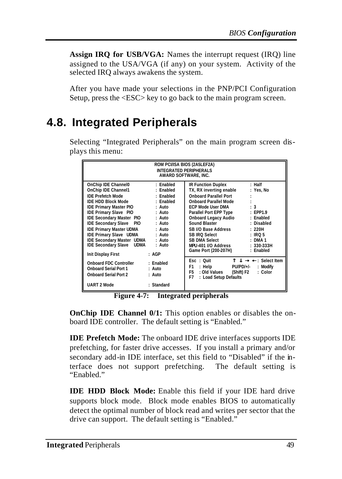**Assign IRQ for USB/VGA:** Names the interrupt request (IRQ) line assigned to the USA/VGA (if any) on your system. Activity of the selected IRQ always awakens the system.

After you have made your selections in the PNP/PCI Configuration Setup, press the <ESC> key to go back to the main program screen.

### **4.8. Integrated Peripherals**

Selecting "Integrated Peripherals" on the main program screen displays this menu:

| ROM PCI/ISA BIOS (2A5LEF2A)<br><b>INTEGRATED PERIPHERALS</b><br>AWARD SOFTWARE. INC.                                                                                                                                                                                                                                                                                                                                                                                                                                                                          |                                                                                                                                                                                                                                                                                                                                                                                                                                                            |  |  |
|---------------------------------------------------------------------------------------------------------------------------------------------------------------------------------------------------------------------------------------------------------------------------------------------------------------------------------------------------------------------------------------------------------------------------------------------------------------------------------------------------------------------------------------------------------------|------------------------------------------------------------------------------------------------------------------------------------------------------------------------------------------------------------------------------------------------------------------------------------------------------------------------------------------------------------------------------------------------------------------------------------------------------------|--|--|
| OnChip IDE Channel0<br>: Enabled<br>OnChip IDE Channel1<br>: Enabled<br><b>IDE Prefetch Mode</b><br>: Enabled<br>IDE HDD Block Mode<br>: Enabled<br><b>IDE Primary Master PIO</b><br>$:$ Auto<br><b>IDE Primary Slave PIO</b><br>: Auto<br><b>IDE Secondary Master PIO</b><br>: Auto<br><b>IDE Secondary Slave</b><br><b>PIO</b><br>$:$ Auto<br><b>IDE Primary Master UDMA</b><br>: Auto<br><b>IDE Primary Slave UDMA</b><br>: Auto<br>IDE Secondary Master UDMA<br>: Auto<br><b>IDE Secondary Slave UDMA</b><br>: Auto<br>: AGP<br><b>Init Display First</b> | IR Function Duplex<br>$:$ Half<br>TX, RX inverting enable<br>: Yes. No<br><b>Onboard Parallel Port</b><br><b>Onboard Parallel Mode</b><br>: 3<br><b>ECP Mode User DMA</b><br>Parallel Port EPP Type<br>EPP1.9<br>Onboard Legacy Audio<br>: Enabled<br>Sound Blaster<br>: Disabled<br>SB I/O Base Address<br>: 220H<br>SB IRO Select<br>$:$ IRO 5<br>SB DMA Select<br>$:$ DMA 1<br>MPU-401 I/O Address<br>$: 330-333H$<br>Game Port (200-207H)<br>: Enabled |  |  |
| <b>Onboard FDC Controller</b><br>: Enabled<br><b>Onboard Serial Port 1</b><br>: Auto<br><b>Onboard Serial Port 2</b><br>: Auto<br><b>UART 2 Mode</b><br>: Standard                                                                                                                                                                                                                                                                                                                                                                                            | Esc: Quit<br>$\lnot$ : Select Item<br>◉<br><b>PU/PD/+/-</b><br>F1<br>: Help<br>: Modify<br>: Old Values<br>F5<br>: Color<br>(Shift) F2<br>F7<br>: Load Setup Defaults                                                                                                                                                                                                                                                                                      |  |  |

**Figure 4-7: Integrated peripherals**

**OnChip IDE Channel 0/1:** This option enables or disables the onboard IDE controller. The default setting is "Enabled."

**IDE Prefetch Mode:** The onboard IDE drive interfaces supports IDE prefetching, for faster drive accesses. If you install a primary and/or secondary add-in IDE interface, set this field to "Disabled" if the interface does not support prefetching. The default setting is "Enabled."

**IDE HDD Block Mode:** Enable this field if your IDE hard drive supports block mode. Block mode enables BIOS to automatically detect the optimal number of block read and writes per sector that the drive can support. The default setting is "Enabled."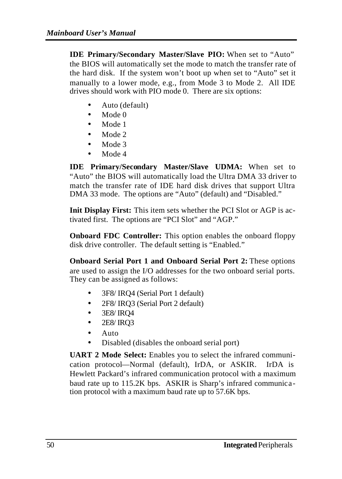**IDE Primary/Secondary Master/Slave PIO:** When set to "Auto" the BIOS will automatically set the mode to match the transfer rate of the hard disk. If the system won't boot up when set to "Auto" set it manually to a lower mode, e.g., from Mode 3 to Mode 2. All IDE drives should work with PIO mode 0. There are six options:

- Auto (default)
- Mode 0
- Mode 1
- Mode 2
- Mode 3
- Mode 4

**IDE Primary/Secondary Master/Slave UDMA:** When set to "Auto" the BIOS will automatically load the Ultra DMA 33 driver to match the transfer rate of IDE hard disk drives that support Ultra DMA 33 mode. The options are "Auto" (default) and "Disabled."

**Init Display First:** This item sets whether the PCI Slot or AGP is activated first. The options are "PCI Slot" and "AGP."

**Onboard FDC Controller:** This option enables the onboard floppy disk drive controller. The default setting is "Enabled."

**Onboard Serial Port 1 and Onboard Serial Port 2:** These options are used to assign the I/O addresses for the two onboard serial ports. They can be assigned as follows:

- 3F8/ IRQ4 (Serial Port 1 default)
- 2F8/ IRQ3 (Serial Port 2 default)
- 3E8/ IRQ4
- 2E8/ IRQ3
- Auto
- Disabled (disables the onboard serial port)

**UART 2 Mode Select:** Enables you to select the infrared communication protocol—Normal (default), IrDA, or ASKIR. IrDA is Hewlett Packard's infrared communication protocol with a maximum baud rate up to 115.2K bps. ASKIR is Sharp's infrared communication protocol with a maximum baud rate up to 57.6K bps.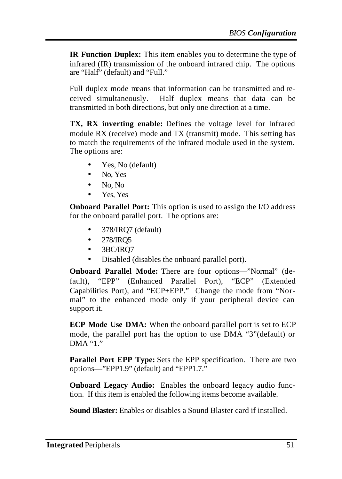**IR Function Duplex:** This item enables you to determine the type of infrared (IR) transmission of the onboard infrared chip. The options are "Half" (default) and "Full."

Full duplex mode means that information can be transmitted and received simultaneously. Half duplex means that data can be transmitted in both directions, but only one direction at a time.

**TX, RX inverting enable:** Defines the voltage level for Infrared module RX (receive) mode and TX (transmit) mode. This setting has to match the requirements of the infrared module used in the system. The options are:

- Yes, No (default)
- No. Yes
- No, No
- Yes, Yes

**Onboard Parallel Port:** This option is used to assign the I/O address for the onboard parallel port. The options are:

- 378/IRQ7 (default)
- 278/IRQ5
- 3BC/IRO7
- Disabled (disables the onboard parallel port).

**Onboard Parallel Mode:** There are four options—"Normal" (default), "EPP" (Enhanced Parallel Port), "ECP" (Extended Capabilities Port), and "ECP+EPP." Change the mode from "Normal" to the enhanced mode only if your peripheral device can support it.

**ECP Mode Use DMA:** When the onboard parallel port is set to ECP mode, the parallel port has the option to use DMA "3"(default) or  $DMA$  "1"

**Parallel Port EPP Type:** Sets the EPP specification. There are two options—"EPP1.9" (default) and "EPP1.7."

**Onboard Legacy Audio:** Enables the onboard legacy audio function. If this item is enabled the following items become available.

**Sound Blaster:** Enables or disables a Sound Blaster card if installed.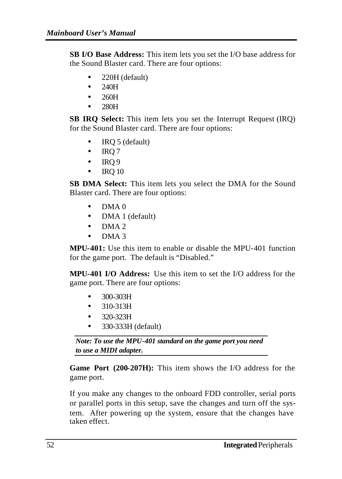**SB I/O Base Address:** This item lets you set the I/O base address for the Sound Blaster card. There are four options:

- 220H (default)
- 240H
- 260H
- 280H

**SB IRQ Select:** This item lets you set the Interrupt Request (IRQ) for the Sound Blaster card. There are four options:

- IRQ 5 (default)
- $\bullet$  IRQ 7
- $\bullet$  IRO 9
- $\bullet$  IRQ 10

**SB DMA Select:** This item lets you select the DMA for the Sound Blaster card. There are four options:

- DMA 0
- DMA 1 (default)
- $\bullet$  DMA 2
- DMA 3

**MPU-401:** Use this item to enable or disable the MPU-401 function for the game port. The default is "Disabled."

**MPU-401 I/O Address:** Use this item to set the I/O address for the game port. There are four options:

- 300-303H
- 310-313H
- 320-323H
- 330-333H (default)

*Note: To use the MPU-401 standard on the game port you need to use a MIDI adapter.*

**Game Port (200-207H):** This item shows the I/O address for the game port.

If you make any changes to the onboard FDD controller, serial ports or parallel ports in this setup, save the changes and turn off the system. After powering up the system, ensure that the changes have taken effect.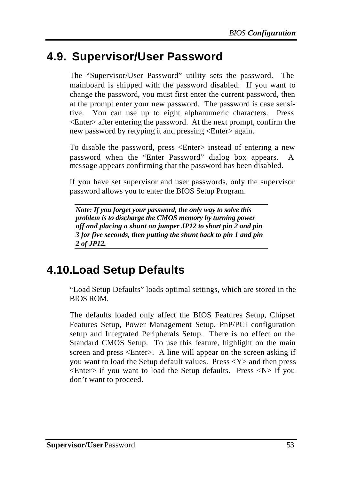### **4.9. Supervisor/User Password**

The "Supervisor/User Password" utility sets the password. The mainboard is shipped with the password disabled. If you want to change the password, you must first enter the current password, then at the prompt enter your new password. The password is case sensitive. You can use up to eight alphanumeric characters. Press <Enter> after entering the password. At the next prompt, confirm the new password by retyping it and pressing <Enter> again.

To disable the password, press <Enter> instead of entering a new password when the "Enter Password" dialog box appears. A message appears confirming that the password has been disabled.

If you have set supervisor and user passwords, only the supervisor password allows you to enter the BIOS Setup Program.

*Note: If you forget your password, the only way to solve this problem is to discharge the CMOS memory by turning power off and placing a shunt on jumper JP12 to short pin 2 and pin 3 for five seconds, then putting the shunt back to pin 1 and pin 2 of JP12.*

### **4.10.Load Setup Defaults**

"Load Setup Defaults" loads optimal settings, which are stored in the BIOS ROM.

The defaults loaded only affect the BIOS Features Setup, Chipset Features Setup, Power Management Setup, PnP/PCI configuration setup and Integrated Peripherals Setup. There is no effect on the Standard CMOS Setup. To use this feature, highlight on the main screen and press <Enter>. A line will appear on the screen asking if you want to load the Setup default values. Press  $\langle Y \rangle$  and then press  $\leq$ Enter $>$  if you want to load the Setup defaults. Press  $\leq N$  $>$  if you don't want to proceed.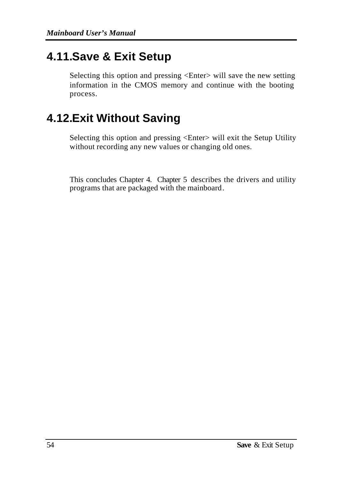### **4.11.Save & Exit Setup**

Selecting this option and pressing <Enter> will save the new setting information in the CMOS memory and continue with the booting process.

# **4.12.Exit Without Saving**

Selecting this option and pressing <Enter> will exit the Setup Utility without recording any new values or changing old ones.

This concludes Chapter 4. Chapter 5 describes the drivers and utility programs that are packaged with the mainboard.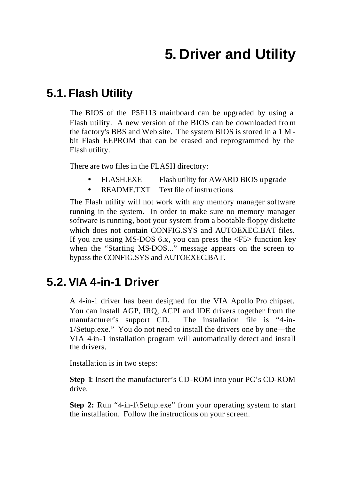# **5. Driver and Utility**

### **5.1. Flash Utility**

The BIOS of the P5F113 mainboard can be upgraded by using a Flash utility. A new version of the BIOS can be downloaded fro m the factory's BBS and Web site. The system BIOS is stored in a 1 M bit Flash EEPROM that can be erased and reprogrammed by the Flash utility.

There are two files in the FLASH directory:

- FLASH.EXE Flash utility for AWARD BIOS upgrade
- README.TXT Text file of instructions

The Flash utility will not work with any memory manager software running in the system. In order to make sure no memory manager software is running, boot your system from a bootable floppy diskette which does not contain CONFIG.SYS and AUTOEXEC.BAT files. If you are using MS-DOS 6.x, you can press the  $\langle F5 \rangle$  function key when the "Starting MS-DOS..." message appears on the screen to bypass the CONFIG.SYS and AUTOEXEC.BAT.

### **5.2. VIA 4-in-1 Driver**

A 4-in-1 driver has been designed for the VIA Apollo Pro chipset. You can install AGP, IRQ, ACPI and IDE drivers together from the manufacturer's support CD. The installation file is "4-in-1/Setup.exe." You do not need to install the drivers one by one—the VIA 4-in-1 installation program will automatically detect and install the drivers.

Installation is in two steps:

**Step 1**: Insert the manufacturer's CD-ROM into your PC's CD-ROM drive.

**Step 2:** Run "4-in-1\Setup.exe" from your operating system to start the installation. Follow the instructions on your screen.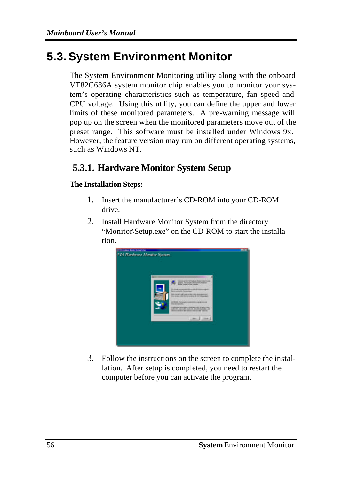### **5.3. System Environment Monitor**

The System Environment Monitoring utility along with the onboard VT82C686A system monitor chip enables you to monitor your system's operating characteristics such as temperature, fan speed and CPU voltage. Using this utility, you can define the upper and lower limits of these monitored parameters. A pre-warning message will pop up on the screen when the monitored parameters move out of the preset range. This software must be installed under Windows 9x. However, the feature version may run on different operating systems, such as Windows NT.

### **5.3.1. Hardware Monitor System Setup**

#### **The Installation Steps:**

- 1. Insert the manufacturer's CD-ROM into your CD-ROM drive.
- 2. Install Hardware Monitor System from the directory "Monitor\Setup.exe" on the CD-ROM to start the installation.



3. Follow the instructions on the screen to complete the installation. After setup is completed, you need to restart the computer before you can activate the program.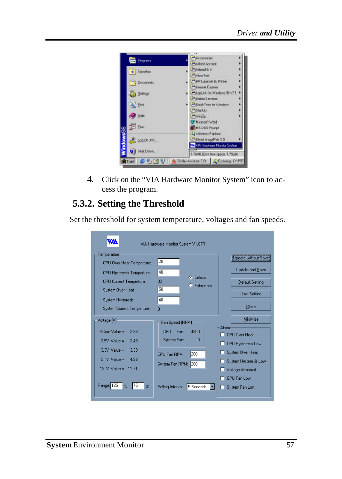

4. Click on the "VIA Hardware Monitor System" icon to access the program.

### **5.3.2. Setting the Threshold**

Set the threshold for system temperature, voltages and fan speeds.

| WA                                                                                                                                                                                                                    | VIA Hardware Monitor System V1.07R                                                                                                            |                                                                                                                                                                                   |
|-----------------------------------------------------------------------------------------------------------------------------------------------------------------------------------------------------------------------|-----------------------------------------------------------------------------------------------------------------------------------------------|-----------------------------------------------------------------------------------------------------------------------------------------------------------------------------------|
| Temperature<br>CPU Over-Heat Temperture:<br><b>CPU Hysteresis Temperture:</b><br><b>CPU Current Temperture:</b><br>System Over-Heat<br>System Hysteresis<br>System Current Temperture:                                | 20<br>40<br><b>C</b> Celsius<br>32<br>C Fahrenheit<br>50<br>40<br>n                                                                           | Update without Save<br>Update and Save<br>Default Setting<br><b>User Setting</b><br>Close                                                                                         |
| Voltage [V]-<br>VCore Value =<br>2.36<br>$25V$ Value =<br>2.48<br>$3.3V$ Value =<br>3.33<br>$5 \text{ V Value} =$<br>4.98<br>$12 \text{ V Value} =$<br>11.71<br>Range: 125<br>175<br>$\frac{2}{2}$<br>$\frac{2}{\pi}$ | Fan Speed (RPM)<br>CPU<br>4200<br>Fan:<br>System Fan:<br>n<br>200<br>CPU Fan RPM:<br>200<br>System Fan RPM:<br>5 Seconds<br>Polling Interval: | MiniMize<br>Alarm<br><b>CPU Over Heat</b><br>п<br><b>CPU Hysteresis Low</b><br>System Over Heat<br>System Hysteresis Low<br>Voltage Abnomal<br>CPU Fan Low<br>п<br>System Fan Low |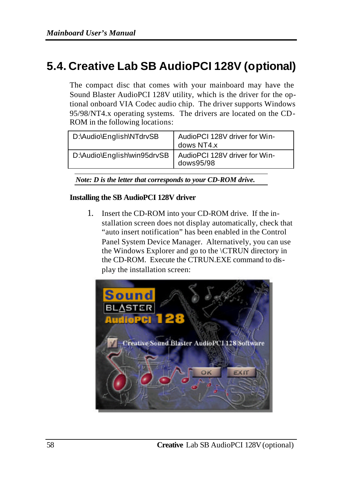### **5.4. Creative Lab SB AudioPCI 128V (optional)**

The compact disc that comes with your mainboard may have the Sound Blaster AudioPCI 128V utility, which is the driver for the optional onboard VIA Codec audio chip. The driver supports Windows 95/98/NT4.x operating systems. The drivers are located on the CD-ROM in the following locations:

| D:\Audio\English\NTdrvSB    | AudioPCI 128V driver for Win-<br>dows NT4.x |
|-----------------------------|---------------------------------------------|
| D:\Audio\English\win95drvSB | AudioPCI 128V driver for Win-<br>dows95/98  |

*Note: D is the letter that corresponds to your CD-ROM drive.*

#### **Installing the SB AudioPCI 128V driver**

1. Insert the CD-ROM into your CD-ROM drive. If the installation screen does not display automatically, check that "auto insert notification" has been enabled in the Control Panel System Device Manager. Alternatively, you can use the Windows Explorer and go to the \CTRUN directory in the CD-ROM. Execute the CTRUN.EXE command to display the installation screen:

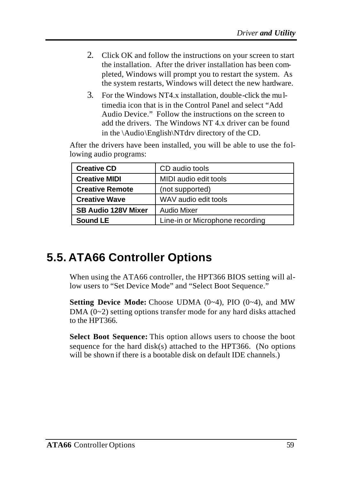- 2. Click OK and follow the instructions on your screen to start the installation. After the driver installation has been completed, Windows will prompt you to restart the system. As the system restarts, Windows will detect the new hardware.
- 3. For the Windows NT4.x installation, double-click the mu ltimedia icon that is in the Control Panel and select "Add Audio Device." Follow the instructions on the screen to add the drivers. The Windows NT 4.x driver can be found in the \Audio\English\NTdrv directory of the CD.

After the drivers have been installed, you will be able to use the following audio programs:

| <b>Creative CD</b>         | CD audio tools                  |
|----------------------------|---------------------------------|
| <b>Creative MIDI</b>       | MIDI audio edit tools           |
| <b>Creative Remote</b>     | (not supported)                 |
| <b>Creative Wave</b>       | WAV audio edit tools            |
| <b>SB Audio 128V Mixer</b> | <b>Audio Mixer</b>              |
| Sound LE                   | Line-in or Microphone recording |

# **5.5. ATA66 Controller Options**

When using the ATA66 controller, the HPT366 BIOS setting will allow users to "Set Device Mode" and "Select Boot Sequence."

**Setting Device Mode:** Choose UDMA (0~4), PIO (0~4), and MW  $DMA (0~2)$  setting options transfer mode for any hard disks attached to the HPT366.

**Select Boot Sequence:** This option allows users to choose the boot sequence for the hard disk(s) attached to the HPT366. (No options will be shown if there is a bootable disk on default IDE channels.)